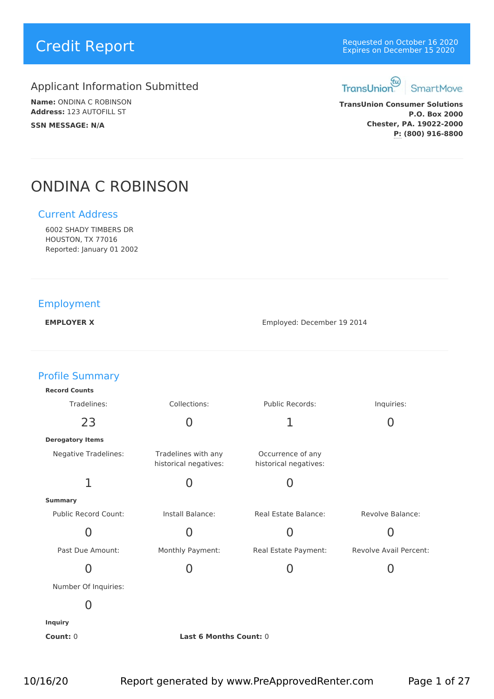# Applicant Information Submitted TransUnion

**Name:** ONDINA C ROBINSON **Address:** 123 AUTOFILL ST **SSN MESSAGE: N/A**

# **Credit Report Credit Report Credit Report** Expires on December 16 2020 Expires on December 15 2020



**TransUnion Consumer Solutions P.O. Box 2000 Chester, PA. 19022-2000 P: (800) 916-8800**

# ONDINA C ROBINSON

# Current Address

6002 SHADY TIMBERS DR HOUSTON, TX 77016 Reported: January 01 2002

# Employment

**EMPLOYER X** Employed: December 19 2014

| <b>Profile Summary</b>      |                                              |                                            |                        |  |
|-----------------------------|----------------------------------------------|--------------------------------------------|------------------------|--|
| <b>Record Counts</b>        |                                              |                                            |                        |  |
| Tradelines:                 | Collections:                                 | Public Records:                            | Inquiries:             |  |
| 23                          | $\overline{0}$                               | 1                                          | $\overline{0}$         |  |
| <b>Derogatory Items</b>     |                                              |                                            |                        |  |
| <b>Negative Tradelines:</b> | Tradelines with any<br>historical negatives: | Occurrence of any<br>historical negatives: |                        |  |
| 1                           | 0                                            | 0                                          |                        |  |
| <b>Summary</b>              |                                              |                                            |                        |  |
| Public Record Count:        | Install Balance:                             | Real Estate Balance:                       | Revolve Balance:       |  |
| $\overline{0}$              | $\overline{0}$                               | 0                                          | 0                      |  |
| Past Due Amount:            | Monthly Payment:                             | Real Estate Payment:                       | Revolve Avail Percent: |  |
| $\overline{0}$              | $\overline{0}$                               | $\overline{0}$                             | $\overline{0}$         |  |
| Number Of Inquiries:        |                                              |                                            |                        |  |
| 0                           |                                              |                                            |                        |  |
| <b>Inquiry</b>              |                                              |                                            |                        |  |
| Count: 0                    | Last 6 Months Count: 0                       |                                            |                        |  |
|                             |                                              |                                            |                        |  |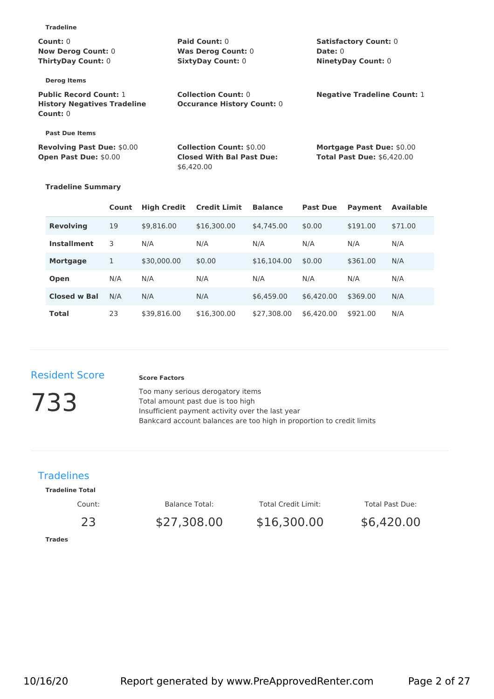| 119451115                          |                                   |                                    |
|------------------------------------|-----------------------------------|------------------------------------|
| Count: $0$                         | Paid Count: 0                     | <b>Satisfactory Count: 0</b>       |
| <b>Now Derog Count: 0</b>          | <b>Was Derog Count: 0</b>         | <b>Date: 0</b>                     |
| <b>ThirtyDay Count: 0</b>          | <b>SixtyDay Count: 0</b>          | <b>NinetyDay Count: 0</b>          |
| <b>Derog Items</b>                 |                                   |                                    |
| <b>Public Record Count: 1</b>      | <b>Collection Count: 0</b>        | <b>Negative Tradeline Count: 1</b> |
| <b>History Negatives Tradeline</b> | <b>Occurance History Count: 0</b> |                                    |
| Count: 0                           |                                   |                                    |
| <b>Past Due Items</b>              |                                   |                                    |
| <b>Revolving Past Due: \$0.00</b>  | <b>Collection Count: \$0.00</b>   | <b>Mortgage Past Due: \$0.00</b>   |
| Open Past Due: \$0.00              | <b>Closed With Bal Past Due:</b>  | <b>Total Past Due: \$6,420.00</b>  |
|                                    | \$6,420.00                        |                                    |
|                                    |                                   |                                    |

#### **Tradeline Summary**

**Tradeline**

|                     | Count | <b>High Credit</b> | <b>Credit Limit</b> | <b>Balance</b> |            | <b>Past Due</b><br>Payment<br><b>Available</b> |         |
|---------------------|-------|--------------------|---------------------|----------------|------------|------------------------------------------------|---------|
| <b>Revolving</b>    | 19    | \$9,816.00         | \$16,300.00         | \$4,745.00     | \$0.00     | \$191.00                                       | \$71.00 |
| <b>Installment</b>  | 3     | N/A                | N/A                 | N/A            | N/A        | N/A                                            | N/A     |
| <b>Mortgage</b>     |       | \$30,000.00        | \$0.00              | \$16,104,00    | \$0.00     | \$361.00                                       | N/A     |
| Open                | N/A   | N/A                | N/A                 | N/A            | N/A        | N/A                                            | N/A     |
| <b>Closed w Bal</b> | N/A   | N/A                | N/A                 | \$6,459.00     | \$6,420,00 | \$369.00                                       | N/A     |
| <b>Total</b>        | 23    | \$39,816.00        | \$16,300.00         | \$27,308.00    | \$6,420.00 | \$921.00                                       | N/A     |

# Resident Score

#### **Score Factors**

**733** Insufficient payment activity over the last year<br>Insufficient payment activity over the last year Too many serious derogatory items Total amount past due is too high Bankcard account balances are too high in proportion to credit limits

# **Tradelines**

#### **Tradeline Total**

Count:

Balance Total:

Total Credit Limit:

Total Past Due:

**Trades**

23 \$27,308.00

\$27,308.00 \$16,300.00

\$6,420.00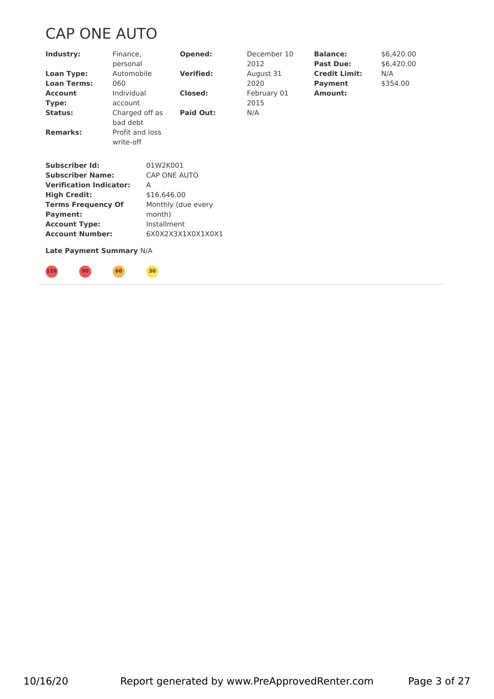# CAP ONE AUTO

**120 90 60 30**

| Industry:                                    | Finance,<br>personal                                                                                                                                                                                                                 |             | Opened:            | December 10<br>2012 | <b>Balance:</b><br><b>Past Due:</b> | \$6,420.00<br>\$6,420.00 |  |
|----------------------------------------------|--------------------------------------------------------------------------------------------------------------------------------------------------------------------------------------------------------------------------------------|-------------|--------------------|---------------------|-------------------------------------|--------------------------|--|
| <b>Loan Type:</b>                            | Automobile                                                                                                                                                                                                                           |             | <b>Verified:</b>   | August 31           | <b>Credit Limit:</b>                | N/A                      |  |
| <b>Loan Terms:</b>                           | 060                                                                                                                                                                                                                                  |             |                    | 2020                | <b>Payment</b>                      | \$354.00                 |  |
| <b>Account</b>                               | Individual                                                                                                                                                                                                                           |             | <b>Closed:</b>     | February 01         | Amount:                             |                          |  |
| Type:                                        | account                                                                                                                                                                                                                              |             |                    | 2015                |                                     |                          |  |
| Status:                                      | Charged off as<br>bad debt                                                                                                                                                                                                           |             | <b>Paid Out:</b>   | N/A                 |                                     |                          |  |
| <b>Remarks:</b>                              | Profit and loss<br>write-off                                                                                                                                                                                                         |             |                    |                     |                                     |                          |  |
| <b>Subscriber Id:</b>                        |                                                                                                                                                                                                                                      | 01W2K001    |                    |                     |                                     |                          |  |
| <b>Subscriber Name:</b>                      |                                                                                                                                                                                                                                      |             | CAP ONE AUTO       |                     |                                     |                          |  |
| <b>Verification Indicator:</b>               |                                                                                                                                                                                                                                      | A           |                    |                     |                                     |                          |  |
| <b>High Credit:</b>                          |                                                                                                                                                                                                                                      | \$16,646.00 |                    |                     |                                     |                          |  |
| <b>Terms Frequency Of</b><br><b>Payment:</b> |                                                                                                                                                                                                                                      | month)      | Monthly (due every |                     |                                     |                          |  |
| <b>Account Type:</b>                         |                                                                                                                                                                                                                                      | Installment |                    |                     |                                     |                          |  |
| <b>Account Number:</b>                       |                                                                                                                                                                                                                                      |             | 6X0X2X3X1X0X1X0X1  |                     |                                     |                          |  |
| Late Payment Summary N/A                     |                                                                                                                                                                                                                                      |             |                    |                     |                                     |                          |  |
|                                              | <u>and the second contract of the second contract of the second contract of the second contract of the second contract of the second contract of the second contract of the second contract of the second contract of the second</u> |             |                    |                     |                                     |                          |  |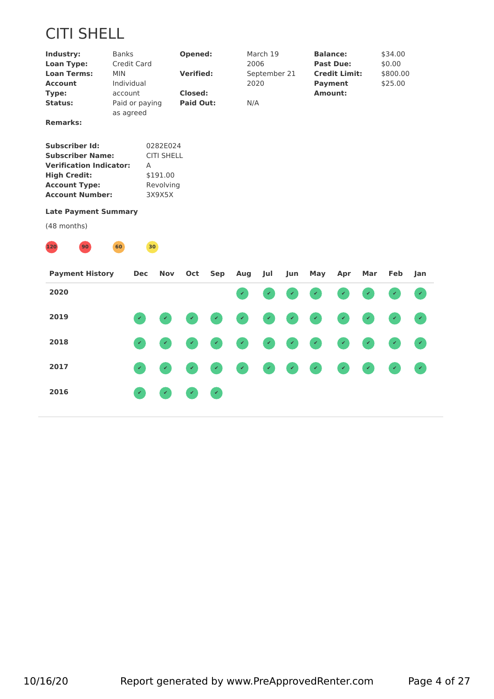# CITI SHELL

| Industry:          | <b>Banks</b>   | Opened:          | March 19     | <b>Balance:</b>      | \$34.00  |
|--------------------|----------------|------------------|--------------|----------------------|----------|
| <b>Loan Type:</b>  | Credit Card    |                  | 2006         | <b>Past Due:</b>     | \$0.00   |
| <b>Loan Terms:</b> | MIN.           | <b>Verified:</b> | September 21 | <b>Credit Limit:</b> | \$800.00 |
| <b>Account</b>     | Individual     |                  | 2020         | Payment              | \$25.00  |
| Type:              | account        | Closed:          |              | Amount:              |          |
| Status:            | Paid or paying | <b>Paid Out:</b> | N/A          |                      |          |
|                    | as agreed      |                  |              |                      |          |
| ____               |                |                  |              |                      |          |

**Remarks:**

| Subscriber Id:                 | 0282E024          |
|--------------------------------|-------------------|
| Subscriber Name:               | <b>CITI SHELL</b> |
| <b>Verification Indicator:</b> | А                 |
| <b>High Credit:</b>            | \$191.00          |
| <b>Account Type:</b>           | Revolving         |
| Account Number:                | 3X9X5X            |

## **Late Payment Summary**



| <b>Payment History</b> | Dec Nov Oct Sep Aug Jul |                                                                                                                                                   |                      |                            |  | Jun |          | May Apr | Mar | Feb Jan |                            |
|------------------------|-------------------------|---------------------------------------------------------------------------------------------------------------------------------------------------|----------------------|----------------------------|--|-----|----------|---------|-----|---------|----------------------------|
| 2020                   |                         |                                                                                                                                                   |                      |                            |  |     | 00000000 |         |     |         |                            |
| 2019                   |                         |                                                                                                                                                   |                      |                            |  |     | .        |         |     |         |                            |
| 2018                   |                         | $\begin{pmatrix} \mathcal{L} & \mathcal{L} \\ \mathcal{L} & \mathcal{L} \end{pmatrix} = \begin{pmatrix} \mathcal{L} \\ \mathcal{L} \end{pmatrix}$ |                      |                            |  |     | .        |         |     |         |                            |
| 2017                   |                         |                                                                                                                                                   |                      |                            |  |     | .        |         |     |         | $\mathcal{A}(\mathcal{A})$ |
| 2016                   |                         |                                                                                                                                                   | <b>Simple Street</b> | $\mathcal{A}(\mathcal{A})$ |  |     |          |         |     |         |                            |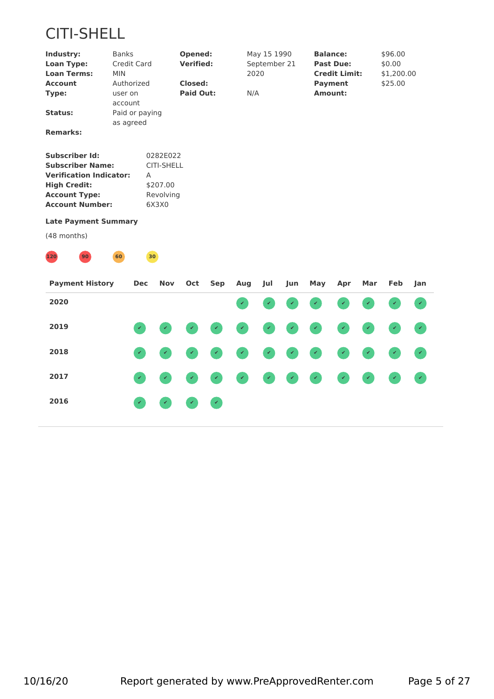# CITI-SHELL

| Industry:               | <b>Banks</b>                | Opened:          | May 15 1990  | <b>Balance:</b>      | \$96.00    |
|-------------------------|-----------------------------|------------------|--------------|----------------------|------------|
| <b>Loan Type:</b>       | Credit Card                 | <b>Verified:</b> | September 21 | <b>Past Due:</b>     | \$0.00     |
| <b>Loan Terms:</b>      | MIN.                        |                  | 2020         | <b>Credit Limit:</b> | \$1,200.00 |
| <b>Account</b>          | Authorized                  | Closed:          |              | <b>Payment</b>       | \$25.00    |
| Type:                   | user on<br>account          | <b>Paid Out:</b> | N/A          | Amount:              |            |
| Status:                 | Paid or paying<br>as agreed |                  |              |                      |            |
| <b>Remarks:</b>         |                             |                  |              |                      |            |
| <b>Subscriber Id:</b>   | 0282E022                    |                  |              |                      |            |
| <b>Subscriber Name:</b> | <b>CITI-SHELL</b>           |                  |              |                      |            |

| <b>Verification Indicator:</b> |           |
|--------------------------------|-----------|
| <b>High Credit:</b>            | \$207.00  |
| <b>Account Type:</b>           | Revolving |
| <b>Account Number:</b>         | 6X3X0     |

#### **Late Payment Summary**



| <b>Payment History</b> | Dec           | Nov                        |                            | Oct Sep Aug | Jul | Jun | May      | Apr | Mar | Feb Jan |  |
|------------------------|---------------|----------------------------|----------------------------|-------------|-----|-----|----------|-----|-----|---------|--|
| 2020                   |               |                            |                            |             |     |     | 00000000 |     |     |         |  |
| 2019                   |               |                            |                            |             |     |     | .        |     |     |         |  |
| 2018                   |               |                            |                            |             |     |     | .        |     |     |         |  |
| 2017                   |               |                            |                            |             |     |     | .        |     |     |         |  |
| 2016                   | $\mathcal{L}$ | $\mathcal{L}(\mathcal{L})$ | $\mathcal{L}(\mathcal{L})$ |             |     |     |          |     |     |         |  |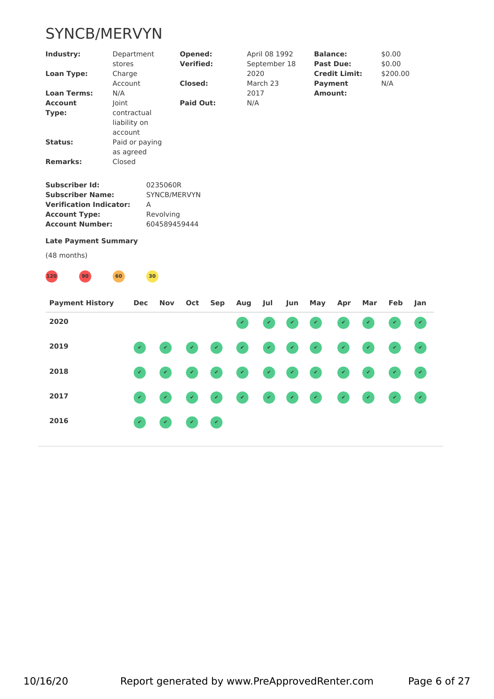# SYNCB/MERVYN

| Industry:                      | Department<br>stores        | Opened:<br><b>Verified:</b> | April 08 1992<br>September 18 | <b>Balance:</b><br><b>Past Due:</b>    | \$0.00<br>\$0.00 |  |
|--------------------------------|-----------------------------|-----------------------------|-------------------------------|----------------------------------------|------------------|--|
| <b>Loan Type:</b>              | Charge<br>Account           | <b>Closed:</b>              | 2020<br>March 23              | <b>Credit Limit:</b><br><b>Payment</b> | \$200.00<br>N/A  |  |
| <b>Loan Terms:</b>             | N/A                         |                             | 2017                          | <b>Amount:</b>                         |                  |  |
| <b>Account</b>                 | Joint                       | <b>Paid Out:</b>            | N/A                           |                                        |                  |  |
| Type:                          | contractual                 |                             |                               |                                        |                  |  |
|                                | liability on<br>account     |                             |                               |                                        |                  |  |
| Status:                        | Paid or paying<br>as agreed |                             |                               |                                        |                  |  |
| <b>Remarks:</b>                | Closed                      |                             |                               |                                        |                  |  |
| <b>Subscriber Id:</b>          |                             | 0235060R                    |                               |                                        |                  |  |
| <b>Subscriber Name:</b>        |                             | SYNCB/MERVYN                |                               |                                        |                  |  |
| <b>Verification Indicator:</b> |                             | $\overline{A}$              |                               |                                        |                  |  |
| <b>Account Type:</b>           |                             | Revolving                   |                               |                                        |                  |  |
| <b>Account Number:</b>         |                             | 604589459444                |                               |                                        |                  |  |
| <b>Late Payment Summary</b>    |                             |                             |                               |                                        |                  |  |
| (48 months)                    |                             |                             |                               |                                        |                  |  |
| 120<br>90 <sup>°</sup>         | 60                          | 30                          |                               |                                        |                  |  |
|                                |                             |                             |                               |                                        |                  |  |

| <b>Payment History</b> |              |                            |  | Dec Nov Oct Sep Aug Jul |  | Jun May Apr |  | Mar Feb Jan |  |
|------------------------|--------------|----------------------------|--|-------------------------|--|-------------|--|-------------|--|
| 2020                   |              |                            |  |                         |  | 00000000    |  |             |  |
| 2019                   |              |                            |  |                         |  | .           |  |             |  |
| 2018                   |              |                            |  |                         |  | .           |  |             |  |
| 2017                   |              |                            |  |                         |  | .           |  |             |  |
| 2016                   | $\mathbf{r}$ | $\mathcal{L}(\mathcal{L})$ |  |                         |  |             |  |             |  |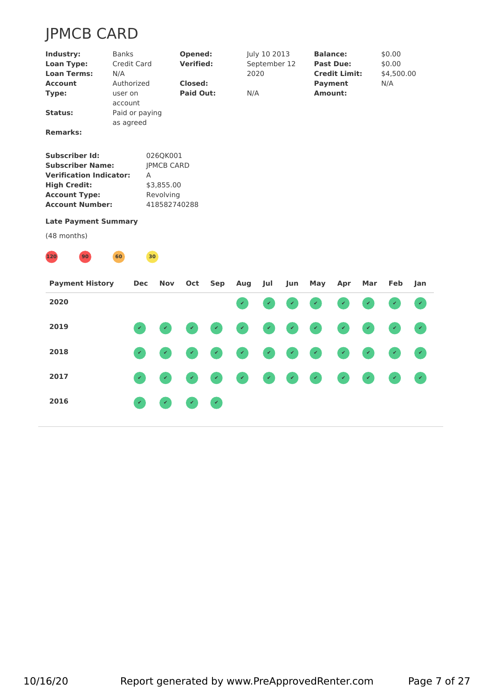# JPMCB CARD

| Industry:                      | <b>Banks</b>                | Opened:           | July 10 2013 | <b>Balance:</b>      | \$0.00     |  |
|--------------------------------|-----------------------------|-------------------|--------------|----------------------|------------|--|
| <b>Loan Type:</b>              | Credit Card                 | <b>Verified:</b>  | September 12 | <b>Past Due:</b>     | \$0.00     |  |
| <b>Loan Terms:</b>             | N/A                         |                   | 2020         | <b>Credit Limit:</b> | \$4,500.00 |  |
| <b>Account</b>                 | Authorized                  | Closed:           |              | <b>Payment</b>       | N/A        |  |
| Type:                          | user on<br>account          | <b>Paid Out:</b>  | N/A          | Amount:              |            |  |
| Status:                        | Paid or paying<br>as agreed |                   |              |                      |            |  |
| <b>Remarks:</b>                |                             |                   |              |                      |            |  |
| <b>Subscriber Id:</b>          |                             | 026QK001          |              |                      |            |  |
| <b>Subscriber Name:</b>        |                             | <b>IPMCB CARD</b> |              |                      |            |  |
| <b>Verification Indicator:</b> |                             | A                 |              |                      |            |  |
| <b>High Credit:</b>            |                             | \$3,855.00        |              |                      |            |  |
| <b>Account Type:</b>           |                             | Revolving         |              |                      |            |  |
| <b>Account Number:</b>         |                             | 418582740288      |              |                      |            |  |
| <b>Late Payment Summary</b>    |                             |                   |              |                      |            |  |
|                                |                             |                   |              |                      |            |  |



| <b>Payment History</b> | Dec          | Nov                        |                                                                                                                                   | Oct Sep Aug | Jul | Jun | May      | Apr | Mar | Feb Jan |                            |
|------------------------|--------------|----------------------------|-----------------------------------------------------------------------------------------------------------------------------------|-------------|-----|-----|----------|-----|-----|---------|----------------------------|
| 2020                   |              |                            |                                                                                                                                   |             |     |     | 00000000 |     |     |         |                            |
| 2019                   |              |                            |                                                                                                                                   |             |     |     | .        |     |     |         |                            |
| 2018                   |              |                            |                                                                                                                                   |             |     |     | .        |     |     |         |                            |
| 2017                   |              |                            |                                                                                                                                   |             |     |     | .        |     |     |         | $\mathcal{A}(\mathcal{A})$ |
| 2016                   | $\mathbf{r}$ | $\mathcal{L}(\mathcal{L})$ | $\begin{pmatrix} \mathcal{L} & \mathcal{L} & \mathcal{L} \end{pmatrix} = \begin{pmatrix} \mathcal{L} & \mathcal{L} \end{pmatrix}$ |             |     |     |          |     |     |         |                            |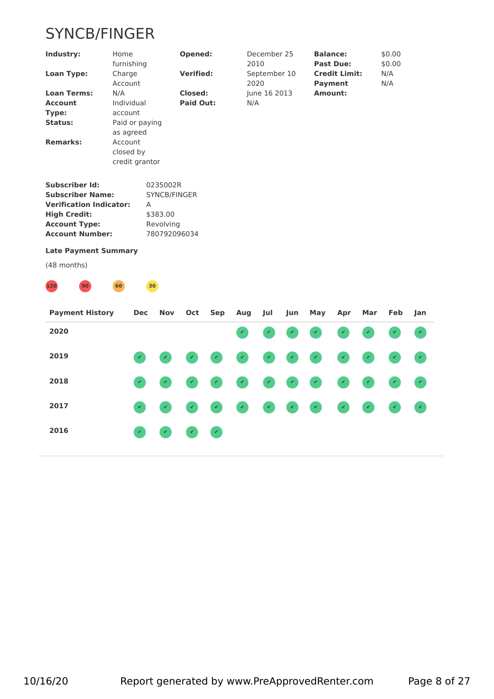# SYNCB/FINGER

| Industry:                  | Home           | Opened:          | December 25  | <b>Balance:</b>      | \$0.00 |  |
|----------------------------|----------------|------------------|--------------|----------------------|--------|--|
|                            | furnishing     |                  | 2010         | <b>Past Due:</b>     | \$0.00 |  |
| <b>Loan Type:</b>          | Charge         | <b>Verified:</b> | September 10 | <b>Credit Limit:</b> | N/A    |  |
|                            | Account        |                  | 2020         | Payment              | N/A    |  |
| <b>Loan Terms:</b>         | N/A            | Closed:          | June 16 2013 | Amount:              |        |  |
| <b>Account</b>             | Individual     | <b>Paid Out:</b> | N/A          |                      |        |  |
| Type:                      | account        |                  |              |                      |        |  |
| Status:                    | Paid or paying |                  |              |                      |        |  |
|                            | as agreed      |                  |              |                      |        |  |
| <b>Remarks:</b>            | Account        |                  |              |                      |        |  |
|                            | closed by      |                  |              |                      |        |  |
|                            | credit grantor |                  |              |                      |        |  |
| <b>Subscriber Id:</b>      |                | 0235002R         |              |                      |        |  |
| <b>Subscriber Name:</b>    |                | SYNCB/FINGER     |              |                      |        |  |
| アイ・ストロー しょうしん しゅうしょうしょうしょう |                |                  |              |                      |        |  |

| <b>Subscriber Name:</b> | SYNCB/FINGER |
|-------------------------|--------------|
| Verification Indicator: | А            |
| <b>High Credit:</b>     | \$383.00     |
| <b>Account Type:</b>    | Revolving    |
| Account Number:         | 780792096034 |

#### **Late Payment Summary**



| <b>Payment History</b> | Dec | Nov                                                                                                                                               |                                                                                                                                   | Oct Sep Aug Jul |  | Jun May  | Apr | Mar | Feb Jan |                            |
|------------------------|-----|---------------------------------------------------------------------------------------------------------------------------------------------------|-----------------------------------------------------------------------------------------------------------------------------------|-----------------|--|----------|-----|-----|---------|----------------------------|
| 2020                   |     |                                                                                                                                                   |                                                                                                                                   |                 |  | 00000000 |     |     |         |                            |
| 2019                   |     |                                                                                                                                                   |                                                                                                                                   |                 |  | .        |     |     |         |                            |
| 2018                   |     |                                                                                                                                                   |                                                                                                                                   |                 |  | .        |     |     |         |                            |
| 2017                   |     |                                                                                                                                                   |                                                                                                                                   |                 |  | .        |     |     |         | $\mathcal{A}(\mathcal{A})$ |
| 2016                   |     | $\begin{pmatrix} \mathcal{L} & \mathcal{L} \\ \mathcal{L} & \mathcal{L} \end{pmatrix} = \begin{pmatrix} \mathcal{L} \\ \mathcal{L} \end{pmatrix}$ | $\begin{pmatrix} \mathcal{L} & \mathcal{L} & \mathcal{L} \end{pmatrix} = \begin{pmatrix} \mathcal{L} & \mathcal{L} \end{pmatrix}$ |                 |  |          |     |     |         |                            |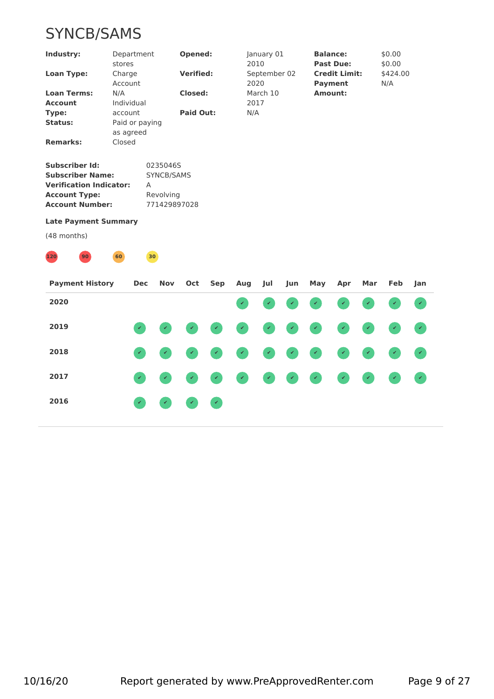# SYNCB/SAMS

| Industry:                            | Department<br>stores        | Opened:          | January 01<br>2010   | <b>Balance:</b><br><b>Past Due:</b>    | \$0.00<br>\$0.00 |
|--------------------------------------|-----------------------------|------------------|----------------------|----------------------------------------|------------------|
| Loan Type:                           | Charge<br>Account           | <b>Verified:</b> | September 02<br>2020 | <b>Credit Limit:</b><br><b>Payment</b> | \$424.00<br>N/A  |
| <b>Loan Terms:</b><br><b>Account</b> | N/A<br>Individual           | Closed:          | March 10<br>2017     | Amount:                                |                  |
| Type:                                | account                     | Paid Out:        | N/A                  |                                        |                  |
| Status:                              | Paid or paying<br>as agreed |                  |                      |                                        |                  |
| <b>Remarks:</b>                      | Closed                      |                  |                      |                                        |                  |

| Subscriber Id:                 | 0235046S     |
|--------------------------------|--------------|
| Subscriber Name:               | SYNCB/SAMS   |
| <b>Verification Indicator:</b> | А            |
| <b>Account Type:</b>           | Revolving    |
| Account Number:                | 771429897028 |

#### **Late Payment Summary**



| <b>Payment History</b> | Dec                                                                                                                                               | Nov                        |                            | Oct Sep Aug | Jul | Jun | May      | Apr | Mar | Feb Jan |  |
|------------------------|---------------------------------------------------------------------------------------------------------------------------------------------------|----------------------------|----------------------------|-------------|-----|-----|----------|-----|-----|---------|--|
| 2020                   |                                                                                                                                                   |                            |                            |             |     |     | 00000000 |     |     |         |  |
| 2019                   |                                                                                                                                                   |                            |                            |             |     |     | .        |     |     |         |  |
| 2018                   |                                                                                                                                                   |                            |                            |             |     |     | .        |     |     |         |  |
| 2017                   | $\begin{pmatrix} \mathcal{L} & \mathcal{L} \\ \mathcal{L} & \mathcal{L} \end{pmatrix} = \begin{pmatrix} \mathcal{L} \\ \mathcal{L} \end{pmatrix}$ |                            |                            |             |     |     | .        |     |     |         |  |
| 2016                   | $\mathbf{z}$                                                                                                                                      | $\mathcal{L}(\mathcal{L})$ | $\mathcal{L}(\mathcal{A})$ |             |     |     |          |     |     |         |  |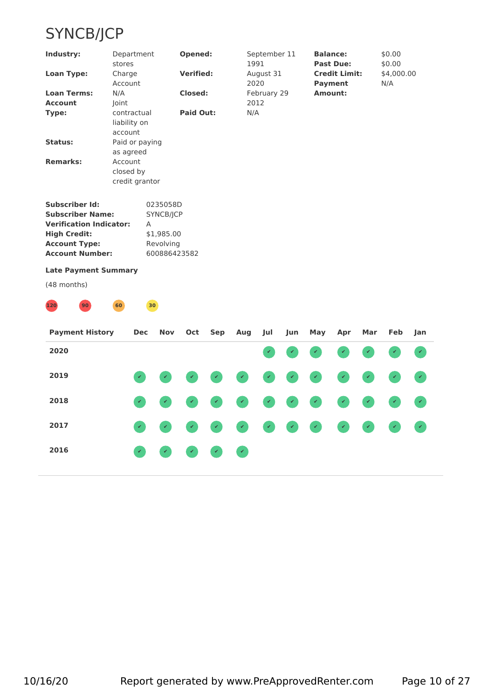# SYNCB/JCP

| Industry:                             | Department<br>stores                   | Opened:          | September 11<br>1991 | <b>Balance:</b><br><b>Past Due:</b> | \$0.00<br>\$0.00  |  |
|---------------------------------------|----------------------------------------|------------------|----------------------|-------------------------------------|-------------------|--|
| <b>Loan Type:</b>                     | Charge<br>Account                      | <b>Verified:</b> | August 31<br>2020    | <b>Credit Limit:</b><br>Payment     | \$4,000.00<br>N/A |  |
| <b>Loan Terms:</b>                    | N/A                                    | <b>Closed:</b>   | February 29          | Amount:                             |                   |  |
| <b>Account</b>                        | Joint                                  |                  | 2012                 |                                     |                   |  |
| Type:                                 | contractual<br>liability on<br>account | <b>Paid Out:</b> | N/A                  |                                     |                   |  |
| <b>Status:</b>                        | Paid or paying<br>as agreed            |                  |                      |                                     |                   |  |
| <b>Remarks:</b>                       | Account<br>closed by<br>credit grantor |                  |                      |                                     |                   |  |
| attended and a set the control of the | $\sqrt{2}$                             |                  |                      |                                     |                   |  |

| Subscriber Id:          | 0235058D     |
|-------------------------|--------------|
| <b>Subscriber Name:</b> | SYNCB/ICP    |
| Verification Indicator: | A            |
| <b>High Credit:</b>     | \$1,985.00   |
| <b>Account Type:</b>    | Revolving    |
| Account Number:         | 600886423582 |
|                         |              |

## **Late Payment Summary**



| <b>Payment History</b> | Dec | Nov                 |  | Oct Sep Aug | Jul | Jun | May     | Apr | Mar | Feb | <b>Jan</b> |
|------------------------|-----|---------------------|--|-------------|-----|-----|---------|-----|-----|-----|------------|
| 2020                   |     |                     |  |             |     |     | 0000000 |     |     |     |            |
| 2019                   |     |                     |  |             |     |     | .       |     |     |     |            |
| 2018                   |     |                     |  |             |     |     | .       |     |     |     |            |
| 2017                   |     |                     |  |             |     |     | .       |     |     |     |            |
| 2016                   |     | $\bullet$ $\bullet$ |  |             |     |     |         |     |     |     |            |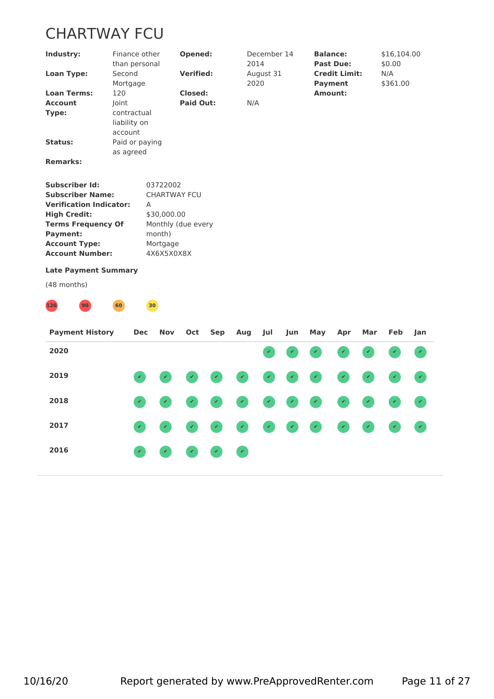# CHARTWAY FCU

| Industry:                      |           | Finance other<br>than personal | Opened:             | December 14<br>2014 | <b>Balance:</b><br><b>Past Due:</b> | \$16,104.00<br>\$0.00 |  |
|--------------------------------|-----------|--------------------------------|---------------------|---------------------|-------------------------------------|-----------------------|--|
| <b>Loan Type:</b>              | Second    |                                | <b>Verified:</b>    | August 31           | <b>Credit Limit:</b>                | N/A                   |  |
|                                | Mortgage  |                                |                     | 2020                | <b>Payment</b>                      | \$361.00              |  |
| <b>Loan Terms:</b>             | 120       |                                | Closed:             |                     | <b>Amount:</b>                      |                       |  |
| <b>Account</b>                 | Joint     |                                | <b>Paid Out:</b>    | N/A                 |                                     |                       |  |
| Type:                          |           | contractual                    |                     |                     |                                     |                       |  |
|                                |           | liability on                   |                     |                     |                                     |                       |  |
|                                | account   |                                |                     |                     |                                     |                       |  |
| <b>Status:</b>                 |           | Paid or paying                 |                     |                     |                                     |                       |  |
|                                | as agreed |                                |                     |                     |                                     |                       |  |
| <b>Remarks:</b>                |           |                                |                     |                     |                                     |                       |  |
| <b>Subscriber Id:</b>          |           | 03722002                       |                     |                     |                                     |                       |  |
| <b>Subscriber Name:</b>        |           |                                | <b>CHARTWAY FCU</b> |                     |                                     |                       |  |
| <b>Verification Indicator:</b> |           | $\mathsf{A}$                   |                     |                     |                                     |                       |  |
| <b>High Credit:</b>            |           | \$30,000.00                    |                     |                     |                                     |                       |  |
| <b>Terms Frequency Of</b>      |           |                                | Monthly (due every  |                     |                                     |                       |  |
| Payment:                       |           | month)                         |                     |                     |                                     |                       |  |
| <b>Account Type:</b>           |           | Mortgage                       |                     |                     |                                     |                       |  |
| <b>Account Number:</b>         |           | 4X6X5X0X8X                     |                     |                     |                                     |                       |  |
| <b>Late Payment Summary</b>    |           |                                |                     |                     |                                     |                       |  |
| (48 months)                    |           |                                |                     |                     |                                     |                       |  |
| 120<br>90                      | 60        | 30 <sup>°</sup>                |                     |                     |                                     |                       |  |

| <b>Payment History</b> | Dec Nov Oct Sep Aug |                           |                            |                            | Jul | Jun | May     | Apr | Mar | Feb Jan |  |
|------------------------|---------------------|---------------------------|----------------------------|----------------------------|-----|-----|---------|-----|-----|---------|--|
| 2020                   |                     |                           |                            |                            |     |     | 0000000 |     |     |         |  |
| 2019                   |                     |                           |                            |                            |     |     | .       |     |     |         |  |
| 2018                   |                     |                           |                            |                            |     |     | .       |     |     |         |  |
| 2017                   |                     |                           |                            |                            |     |     | .       |     |     |         |  |
| 2016                   |                     | $\mathbf{r} = \mathbf{r}$ | $\mathcal{L}(\mathcal{L})$ | $\mathcal{A}(\mathcal{A})$ |     |     |         |     |     |         |  |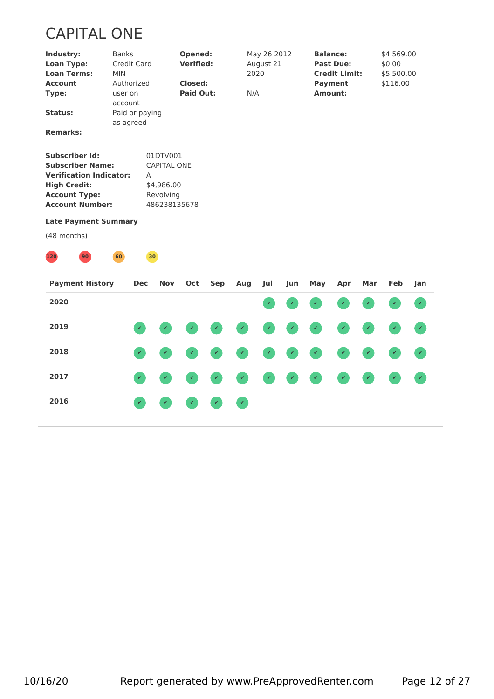# CAPITAL ONE

| Industry:                      | <b>Banks</b>       |                    | Opened:          |     |     | May 26 2012  |              |              | <b>Balance:</b>      |              | \$4,569.00   |              |  |
|--------------------------------|--------------------|--------------------|------------------|-----|-----|--------------|--------------|--------------|----------------------|--------------|--------------|--------------|--|
| <b>Loan Type:</b>              | <b>Credit Card</b> |                    | <b>Verified:</b> |     |     | August 21    |              |              | <b>Past Due:</b>     |              | \$0.00       |              |  |
| <b>Loan Terms:</b>             | MIN                |                    |                  |     |     | 2020         |              |              | <b>Credit Limit:</b> |              | \$5,500.00   |              |  |
| <b>Account</b>                 | Authorized         |                    | Closed:          |     |     |              |              |              | <b>Payment</b>       |              | \$116.00     |              |  |
| Type:                          | user on            |                    | <b>Paid Out:</b> |     | N/A |              |              |              | Amount:              |              |              |              |  |
|                                | account            |                    |                  |     |     |              |              |              |                      |              |              |              |  |
| <b>Status:</b>                 | Paid or paying     |                    |                  |     |     |              |              |              |                      |              |              |              |  |
|                                | as agreed          |                    |                  |     |     |              |              |              |                      |              |              |              |  |
| <b>Remarks:</b>                |                    |                    |                  |     |     |              |              |              |                      |              |              |              |  |
|                                |                    |                    |                  |     |     |              |              |              |                      |              |              |              |  |
| <b>Subscriber Id:</b>          |                    | 01DTV001           |                  |     |     |              |              |              |                      |              |              |              |  |
| <b>Subscriber Name:</b>        |                    | <b>CAPITAL ONE</b> |                  |     |     |              |              |              |                      |              |              |              |  |
| <b>Verification Indicator:</b> |                    | A                  |                  |     |     |              |              |              |                      |              |              |              |  |
| <b>High Credit:</b>            |                    | \$4,986.00         |                  |     |     |              |              |              |                      |              |              |              |  |
| <b>Account Type:</b>           |                    | Revolving          |                  |     |     |              |              |              |                      |              |              |              |  |
| <b>Account Number:</b>         |                    |                    | 486238135678     |     |     |              |              |              |                      |              |              |              |  |
| <b>Late Payment Summary</b>    |                    |                    |                  |     |     |              |              |              |                      |              |              |              |  |
| (48 months)                    |                    |                    |                  |     |     |              |              |              |                      |              |              |              |  |
|                                |                    |                    |                  |     |     |              |              |              |                      |              |              |              |  |
| 120<br>90                      | 60                 | 30 <sup>°</sup>    |                  |     |     |              |              |              |                      |              |              |              |  |
| <b>Payment History</b>         | <b>Dec</b>         | <b>Nov</b>         | Oct              | Sep | Aug | Jul          | Jun          | May          | Apr                  | Mar          | Feb          | Jan          |  |
|                                |                    |                    |                  |     |     |              |              |              |                      |              |              |              |  |
| 2020                           |                    |                    |                  |     |     | $\checkmark$ | $\checkmark$ | $\checkmark$ | $\checkmark$         | $\checkmark$ | $\checkmark$ | $\checkmark$ |  |

**2016 ✔ ✔ ✔ ✔ ✔**

**2019 ✔ ✔ ✔ ✔ ✔ ✔ ✔ ✔ ✔ ✔ ✔ ✔**

**2018 ✔ ✔ ✔ ✔ ✔ ✔ ✔ ✔ ✔ ✔ ✔ ✔**

**2017 ✔ ✔ ✔ ✔ ✔ ✔ ✔ ✔ ✔ ✔ ✔ ✔**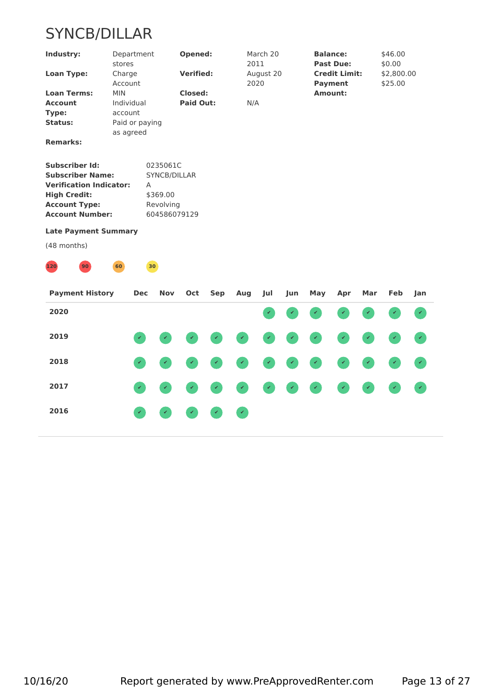# SYNCB/DILLAR

| Industry:                                                                                                                                                                                  | stores                | Department                                |                                                                   | Opened:                            |              |               | March 20<br>2011  |     |     | <b>Balance:</b><br><b>Past Due:</b>    |     | \$46.00<br>\$0.00     |                             |  |
|--------------------------------------------------------------------------------------------------------------------------------------------------------------------------------------------|-----------------------|-------------------------------------------|-------------------------------------------------------------------|------------------------------------|--------------|---------------|-------------------|-----|-----|----------------------------------------|-----|-----------------------|-----------------------------|--|
| <b>Loan Type:</b>                                                                                                                                                                          | Charge<br>Account     |                                           |                                                                   | <b>Verified:</b>                   |              |               | August 20<br>2020 |     |     | <b>Credit Limit:</b><br><b>Payment</b> |     | \$2,800.00<br>\$25.00 |                             |  |
| <b>Loan Terms:</b><br><b>Account</b><br>Type:<br><b>Status:</b><br><b>Remarks:</b>                                                                                                         | <b>MIN</b><br>account | Individual<br>Paid or paying<br>as agreed |                                                                   | <b>Closed:</b><br><b>Paid Out:</b> |              | N/A           |                   |     |     | Amount:                                |     |                       |                             |  |
| <b>Subscriber Id:</b><br><b>Subscriber Name:</b><br><b>Verification Indicator:</b><br><b>High Credit:</b><br><b>Account Type:</b><br><b>Account Number:</b><br><b>Late Payment Summary</b> |                       | Α                                         | 0235061C<br>SYNCB/DILLAR<br>\$369.00<br>Revolving<br>604586079129 |                                    |              |               |                   |     |     |                                        |     |                       |                             |  |
| (48 months)                                                                                                                                                                                |                       |                                           |                                                                   |                                    |              |               |                   |     |     |                                        |     |                       |                             |  |
|                                                                                                                                                                                            |                       |                                           |                                                                   |                                    |              |               |                   |     |     |                                        |     |                       |                             |  |
| $120$<br>90 <sup>°</sup>                                                                                                                                                                   | 60                    |                                           | 30                                                                |                                    |              |               |                   |     |     |                                        |     |                       |                             |  |
| <b>Payment History</b>                                                                                                                                                                     |                       | <b>Dec</b>                                | Nov                                                               | Oct                                | <b>Sep</b>   | Aug           | Jul               | Jun | May | Apr                                    | Mar | Feb                   | Jan                         |  |
| 2020                                                                                                                                                                                       |                       |                                           |                                                                   |                                    |              |               | $\checkmark$      |     |     |                                        | V   |                       | $\mathcal{L}$               |  |
| 2019                                                                                                                                                                                       |                       | $\checkmark$                              |                                                                   |                                    |              | V.            |                   |     |     | $\checkmark$                           | v   |                       | $\mathcal{L}_{\mathcal{A}}$ |  |
| 2018                                                                                                                                                                                       |                       | $\checkmark$                              |                                                                   |                                    |              |               |                   |     |     |                                        |     |                       |                             |  |
| 2017                                                                                                                                                                                       |                       |                                           |                                                                   |                                    |              |               |                   |     |     |                                        |     |                       |                             |  |
| 2016                                                                                                                                                                                       |                       | $\mathcal{L}$                             | $\checkmark$                                                      | $\checkmark$                       | $\checkmark$ | $\mathcal{L}$ |                   |     |     |                                        |     |                       |                             |  |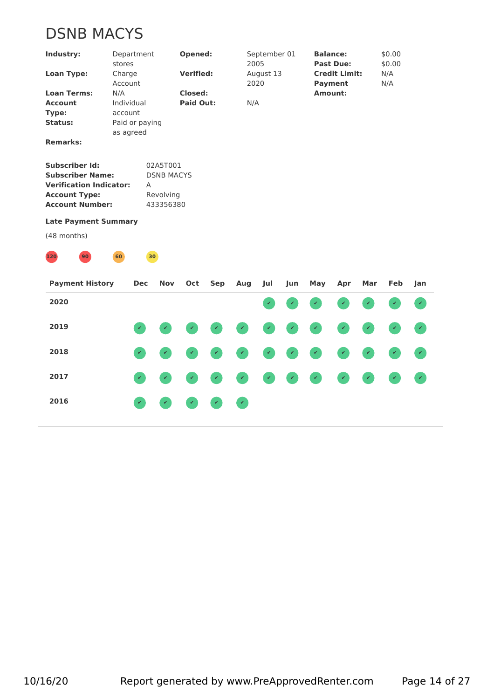# DSNB MACYS

| Industry:                                                                                                                     | stores            | Department                   |                                                         | Opened:                            |              |              | September 01<br>2005 |     |              | <b>Balance:</b><br><b>Past Due:</b>    |              | \$0.00<br>\$0.00 |                             |  |
|-------------------------------------------------------------------------------------------------------------------------------|-------------------|------------------------------|---------------------------------------------------------|------------------------------------|--------------|--------------|----------------------|-----|--------------|----------------------------------------|--------------|------------------|-----------------------------|--|
| <b>Loan Type:</b>                                                                                                             | Charge<br>Account |                              |                                                         | <b>Verified:</b>                   |              |              | August 13<br>2020    |     |              | <b>Credit Limit:</b><br><b>Payment</b> |              | N/A<br>N/A       |                             |  |
| <b>Loan Terms:</b><br><b>Account</b><br>Type:<br><b>Status:</b>                                                               | N/A<br>account    | Individual<br>Paid or paying |                                                         | <b>Closed:</b><br><b>Paid Out:</b> |              | N/A          |                      |     |              | Amount:                                |              |                  |                             |  |
| <b>Remarks:</b>                                                                                                               |                   | as agreed                    |                                                         |                                    |              |              |                      |     |              |                                        |              |                  |                             |  |
| Subscriber Id:<br><b>Subscriber Name:</b><br><b>Verification Indicator:</b><br><b>Account Type:</b><br><b>Account Number:</b> |                   | Α                            | 02A5T001<br><b>DSNB MACYS</b><br>Revolving<br>433356380 |                                    |              |              |                      |     |              |                                        |              |                  |                             |  |
| <b>Late Payment Summary</b>                                                                                                   |                   |                              |                                                         |                                    |              |              |                      |     |              |                                        |              |                  |                             |  |
| (48 months)                                                                                                                   |                   |                              |                                                         |                                    |              |              |                      |     |              |                                        |              |                  |                             |  |
| 120<br>90                                                                                                                     | 60                |                              | 30                                                      |                                    |              |              |                      |     |              |                                        |              |                  |                             |  |
| <b>Payment History</b>                                                                                                        |                   | <b>Dec</b>                   | <b>Nov</b>                                              | Oct                                | Sep          | Aug          | Jul                  | Jun | May          | Apr                                    | Mar          | Feb              | Jan                         |  |
| 2020                                                                                                                          |                   |                              |                                                         |                                    |              |              | $\checkmark$         |     |              | $\checkmark$                           | $\checkmark$ | $\checkmark$     | $\mathcal{L}_{\mathcal{C}}$ |  |
| 2019                                                                                                                          |                   |                              |                                                         |                                    |              |              |                      |     |              |                                        |              |                  |                             |  |
| 2018                                                                                                                          |                   | $\checkmark$                 | v                                                       |                                    | $\checkmark$ | V.           |                      |     | $\checkmark$ |                                        | V            |                  | $\mathcal{L}^{\mathcal{A}}$ |  |
| 2017                                                                                                                          |                   | $\checkmark$                 |                                                         |                                    |              |              |                      |     |              |                                        |              |                  |                             |  |
| 2016                                                                                                                          |                   | $\prec$                      | V                                                       | v                                  | v            | $\checkmark$ |                      |     |              |                                        |              |                  |                             |  |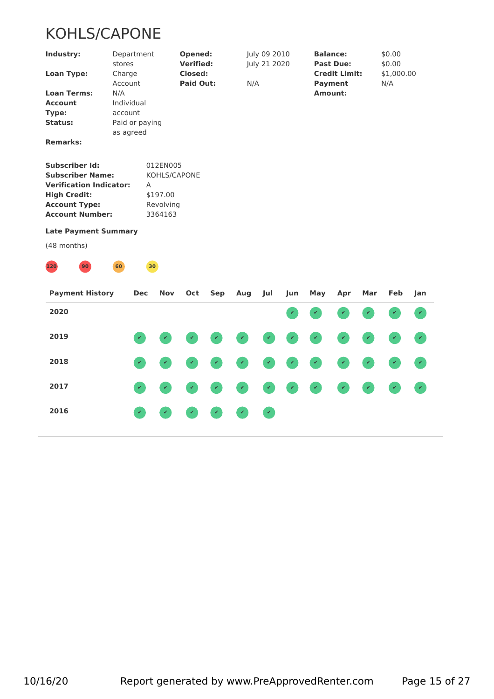# KOHLS/CAPONE

| Industry:                      | Department<br>stores | Opened:<br><b>Verified:</b> | July 09 2010<br>July 21 2020 | <b>Balance:</b><br><b>Past Due:</b> | \$0.00<br>\$0.00 |
|--------------------------------|----------------------|-----------------------------|------------------------------|-------------------------------------|------------------|
| <b>Loan Type:</b>              | Charge               | <b>Closed:</b>              |                              | <b>Credit Limit:</b>                | \$1,000.00       |
|                                | Account              | <b>Paid Out:</b>            | N/A                          | <b>Payment</b>                      | N/A              |
| <b>Loan Terms:</b>             | N/A                  |                             |                              | Amount:                             |                  |
| <b>Account</b>                 | Individual           |                             |                              |                                     |                  |
| Type:                          | account              |                             |                              |                                     |                  |
| Status:                        | Paid or paying       |                             |                              |                                     |                  |
|                                | as agreed            |                             |                              |                                     |                  |
| <b>Remarks:</b>                |                      |                             |                              |                                     |                  |
|                                |                      |                             |                              |                                     |                  |
| <b>Subscriber Id:</b>          |                      | 012EN005                    |                              |                                     |                  |
| <b>Subscriber Name:</b>        |                      | KOHLS/CAPONE                |                              |                                     |                  |
| <b>Verification Indicator:</b> |                      | A                           |                              |                                     |                  |
| <b>High Credit:</b>            |                      | \$197.00                    |                              |                                     |                  |
| <b>Account Type:</b>           |                      | Revolving                   |                              |                                     |                  |
| <b>Account Number:</b>         |                      | 3364163                     |                              |                                     |                  |
|                                |                      |                             |                              |                                     |                  |
| <b>Late Payment Summary</b>    |                      |                             |                              |                                     |                  |
| (48 months)                    |                      |                             |                              |                                     |                  |
| 90 <sup>°</sup><br>120         | 60                   | 30 <sub>0</sub>             |                              |                                     |                  |
|                                |                      |                             |                              |                                     |                  |

| <b>Payment History</b> | Dec Nov Oct Sep Aug Jul                                                                                                                                                                                   |                             |  |                                                                                                                                                                                             |  | Jun May                                                                                                                                       | Apr | Mar | Feb Jan |  |
|------------------------|-----------------------------------------------------------------------------------------------------------------------------------------------------------------------------------------------------------|-----------------------------|--|---------------------------------------------------------------------------------------------------------------------------------------------------------------------------------------------|--|-----------------------------------------------------------------------------------------------------------------------------------------------|-----|-----|---------|--|
| 2020                   |                                                                                                                                                                                                           |                             |  |                                                                                                                                                                                             |  | $\bullet\hspace{0.2cm} \bullet\hspace{0.2cm} \bullet\hspace{0.2cm} \bullet\hspace{0.2cm} \bullet\hspace{0.2cm} \bullet\hspace{0.2cm} \bullet$ |     |     |         |  |
| 2019                   |                                                                                                                                                                                                           |                             |  |                                                                                                                                                                                             |  | .                                                                                                                                             |     |     |         |  |
| 2018                   |                                                                                                                                                                                                           |                             |  |                                                                                                                                                                                             |  | .                                                                                                                                             |     |     |         |  |
| 2017                   | $\begin{pmatrix} \mathcal{L} & \mathcal{L} & \mathcal{L} \\ \mathcal{L} & \mathcal{L} & \mathcal{L} \end{pmatrix} = \begin{pmatrix} \mathcal{L} & \mathcal{L} \\ \mathcal{L} & \mathcal{L} \end{pmatrix}$ |                             |  |                                                                                                                                                                                             |  | .                                                                                                                                             |     |     |         |  |
| 2016                   | $\mathbf{z}$                                                                                                                                                                                              | $\mathcal{L} = \mathcal{L}$ |  | $\begin{pmatrix} 1 & 0 \\ 0 & 0 \end{pmatrix} = \begin{pmatrix} 1 & 0 \\ 0 & 0 \end{pmatrix} = \begin{pmatrix} 1 & 0 \\ 0 & 0 \end{pmatrix} = \begin{pmatrix} 1 & 0 \\ 0 & 0 \end{pmatrix}$ |  |                                                                                                                                               |     |     |         |  |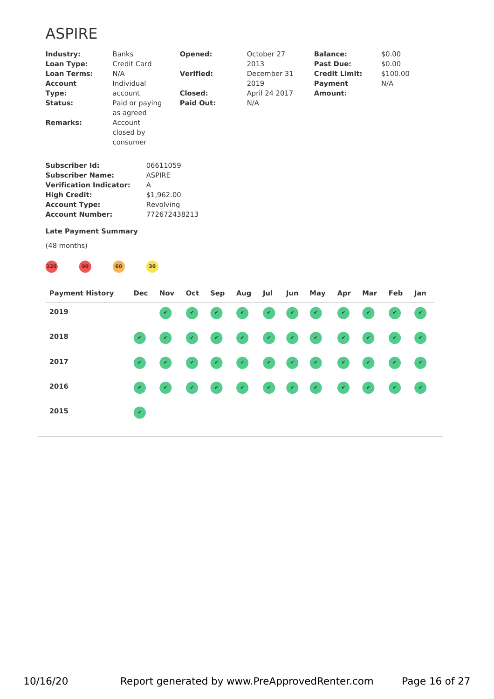# ASPIRE

| Industry:                      | <b>Banks</b> |                 | Opened:          | October 27    | <b>Balance:</b>      | \$0.00   |  |
|--------------------------------|--------------|-----------------|------------------|---------------|----------------------|----------|--|
| <b>Loan Type:</b>              |              | Credit Card     |                  | 2013          | <b>Past Due:</b>     | \$0.00   |  |
| <b>Loan Terms:</b>             | N/A          |                 | <b>Verified:</b> | December 31   | <b>Credit Limit:</b> | \$100.00 |  |
| <b>Account</b>                 |              | Individual      |                  | 2019          | <b>Payment</b>       | N/A      |  |
| Type:                          |              | account         | <b>Closed:</b>   | April 24 2017 | <b>Amount:</b>       |          |  |
| <b>Status:</b>                 |              | Paid or paying  | Paid Out:        | N/A           |                      |          |  |
|                                |              | as agreed       |                  |               |                      |          |  |
| <b>Remarks:</b>                |              | Account         |                  |               |                      |          |  |
|                                |              | closed by       |                  |               |                      |          |  |
|                                |              | consumer        |                  |               |                      |          |  |
| <b>Subscriber Id:</b>          |              |                 | 06611059         |               |                      |          |  |
| <b>Subscriber Name:</b>        |              |                 | <b>ASPIRE</b>    |               |                      |          |  |
| <b>Verification Indicator:</b> |              | A               |                  |               |                      |          |  |
| <b>High Credit:</b>            |              |                 | \$1,962.00       |               |                      |          |  |
| <b>Account Type:</b>           |              |                 | Revolving        |               |                      |          |  |
| <b>Account Number:</b>         |              |                 | 772672438213     |               |                      |          |  |
| <b>Late Payment Summary</b>    |              |                 |                  |               |                      |          |  |
| (48 months)                    |              |                 |                  |               |                      |          |  |
| 120<br>90                      | 60           | 30 <sup>1</sup> |                  |               |                      |          |  |
|                                |              |                 |                  |               |                      |          |  |

| <b>Payment History</b> |                       |  |  |  | Dec Nov Oct Sep Aug Jul Jun May Apr |  | Mar Feb Jan |  |
|------------------------|-----------------------|--|--|--|-------------------------------------|--|-------------|--|
| 2019                   |                       |  |  |  | .                                   |  |             |  |
| 2018                   |                       |  |  |  | .                                   |  |             |  |
| 2017                   |                       |  |  |  | .                                   |  |             |  |
| 2016                   |                       |  |  |  | .                                   |  |             |  |
| 2015                   | $\mathcal{L}_{\rm c}$ |  |  |  |                                     |  |             |  |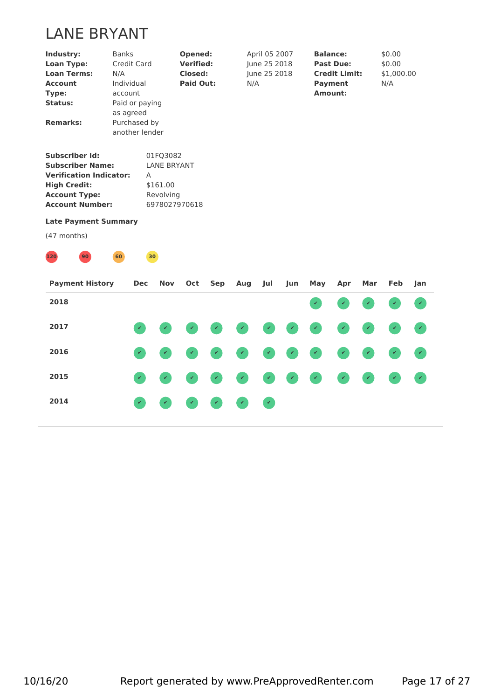# LANE BRYANT

| Industry:<br><b>Loan Type:</b><br><b>Loan Terms:</b><br><b>Account</b><br>Type:<br><b>Status:</b><br><b>Remarks:</b>                                        | <b>Banks</b><br>Credit Card<br>N/A<br>Individual<br>account<br>Paid or paying<br>as agreed<br>Purchased by<br>another lender |                 |                                                         | Opened:<br><b>Verified:</b><br><b>Closed:</b><br><b>Paid Out:</b> |            | N/A | April 05 2007<br>June 25 2018<br>June 25 2018 |              |              | <b>Balance:</b><br><b>Past Due:</b><br><b>Credit Limit:</b><br><b>Payment</b><br><b>Amount:</b> |     | \$0.00<br>\$0.00<br>\$1,000.00<br>N/A |              |
|-------------------------------------------------------------------------------------------------------------------------------------------------------------|------------------------------------------------------------------------------------------------------------------------------|-----------------|---------------------------------------------------------|-------------------------------------------------------------------|------------|-----|-----------------------------------------------|--------------|--------------|-------------------------------------------------------------------------------------------------|-----|---------------------------------------|--------------|
| <b>Subscriber Id:</b><br><b>Subscriber Name:</b><br><b>Verification Indicator:</b><br><b>High Credit:</b><br><b>Account Type:</b><br><b>Account Number:</b> |                                                                                                                              | A               | 01FQ3082<br><b>LANE BRYANT</b><br>\$161.00<br>Revolving | 6978027970618                                                     |            |     |                                               |              |              |                                                                                                 |     |                                       |              |
| <b>Late Payment Summary</b><br>(47 months)                                                                                                                  |                                                                                                                              |                 |                                                         |                                                                   |            |     |                                               |              |              |                                                                                                 |     |                                       |              |
| 120<br>90                                                                                                                                                   | 60                                                                                                                           | 30 <sup>°</sup> |                                                         |                                                                   |            |     |                                               |              |              |                                                                                                 |     |                                       |              |
| <b>Payment History</b>                                                                                                                                      |                                                                                                                              | <b>Dec</b>      | Nov                                                     | Oct                                                               | <b>Sep</b> | Aug | Jul                                           | Jun          | May          | Apr                                                                                             | Mar | Feb                                   | Jan          |
| 2018                                                                                                                                                        |                                                                                                                              |                 |                                                         |                                                                   |            |     |                                               |              |              |                                                                                                 |     |                                       |              |
| 2017                                                                                                                                                        |                                                                                                                              |                 |                                                         |                                                                   |            |     |                                               |              |              |                                                                                                 |     |                                       |              |
| 2016                                                                                                                                                        |                                                                                                                              |                 |                                                         |                                                                   |            |     |                                               |              |              |                                                                                                 |     |                                       |              |
| 2015                                                                                                                                                        |                                                                                                                              | $\checkmark$    | $\checkmark$                                            | ۶                                                                 |            | V.  | v                                             | $\checkmark$ | $\checkmark$ | $\checkmark$                                                                                    | V   | $\checkmark$                          | $\checkmark$ |

**2014 ✔ ✔ ✔ ✔ ✔ ✔**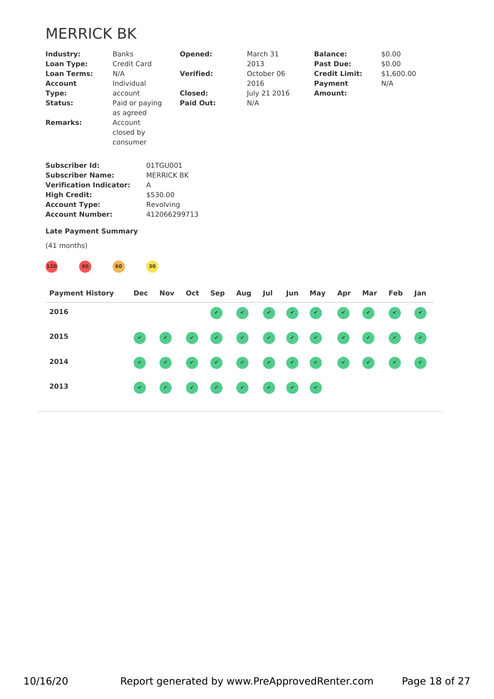# MERRICK BK

|                                |                      | Credit Card    |                   |                                    |              | 2013         |              |     |                | <b>Past Due:</b>     |     | \$0.00     |                             |  |
|--------------------------------|----------------------|----------------|-------------------|------------------------------------|--------------|--------------|--------------|-----|----------------|----------------------|-----|------------|-----------------------------|--|
| <b>Loan Terms:</b>             | N/A                  |                |                   | <b>Verified:</b>                   |              |              | October 06   |     |                | <b>Credit Limit:</b> |     | \$1,600.00 |                             |  |
| <b>Account</b>                 | Individual           |                |                   |                                    |              | 2016         |              |     | <b>Payment</b> |                      |     | N/A        |                             |  |
| Type:                          | account              |                |                   | <b>Closed:</b><br><b>Paid Out:</b> |              |              | July 21 2016 |     | <b>Amount:</b> |                      |     |            |                             |  |
| <b>Status:</b>                 |                      | Paid or paying |                   |                                    |              | N/A          |              |     |                |                      |     |            |                             |  |
| <b>Remarks:</b>                | as agreed<br>Account |                |                   |                                    |              |              |              |     |                |                      |     |            |                             |  |
|                                | closed by            |                |                   |                                    |              |              |              |     |                |                      |     |            |                             |  |
|                                | consumer             |                |                   |                                    |              |              |              |     |                |                      |     |            |                             |  |
|                                |                      |                |                   |                                    |              |              |              |     |                |                      |     |            |                             |  |
| <b>Subscriber Id:</b>          |                      |                | 01TGU001          |                                    |              |              |              |     |                |                      |     |            |                             |  |
| <b>Subscriber Name:</b>        |                      |                | <b>MERRICK BK</b> |                                    |              |              |              |     |                |                      |     |            |                             |  |
| <b>Verification Indicator:</b> |                      | Α              |                   |                                    |              |              |              |     |                |                      |     |            |                             |  |
| <b>High Credit:</b>            |                      |                | \$530.00          |                                    |              |              |              |     |                |                      |     |            |                             |  |
| <b>Account Type:</b>           |                      |                | Revolving         |                                    |              |              |              |     |                |                      |     |            |                             |  |
| <b>Account Number:</b>         |                      |                | 412066299713      |                                    |              |              |              |     |                |                      |     |            |                             |  |
| <b>Late Payment Summary</b>    |                      |                |                   |                                    |              |              |              |     |                |                      |     |            |                             |  |
| (41 months)                    |                      |                |                   |                                    |              |              |              |     |                |                      |     |            |                             |  |
| 120<br>90                      | 60                   | 30             |                   |                                    |              |              |              |     |                |                      |     |            |                             |  |
|                                |                      |                |                   |                                    |              |              |              |     |                |                      |     |            |                             |  |
| <b>Payment History</b>         |                      | <b>Dec</b>     | <b>Nov</b>        | Oct                                | Sep          | Aug          | Jul          | Jun | May            | Apr                  | Mar | Feb        | Jan                         |  |
| 2016                           |                      |                |                   |                                    | $\checkmark$ |              |              |     |                |                      |     |            |                             |  |
| 2015                           |                      |                |                   |                                    |              | V.           |              |     |                |                      |     |            |                             |  |
|                                |                      |                |                   |                                    |              |              |              |     |                |                      |     |            |                             |  |
| 2014                           |                      | $\checkmark$   | V                 |                                    | V            | $\checkmark$ |              |     |                |                      |     |            | $\mathcal{L}_{\mathcal{A}}$ |  |
|                                |                      |                |                   |                                    |              |              |              |     |                |                      |     |            |                             |  |
| 2013                           |                      |                |                   |                                    |              |              |              |     |                |                      |     |            |                             |  |
|                                |                      |                |                   |                                    |              |              |              |     |                |                      |     |            |                             |  |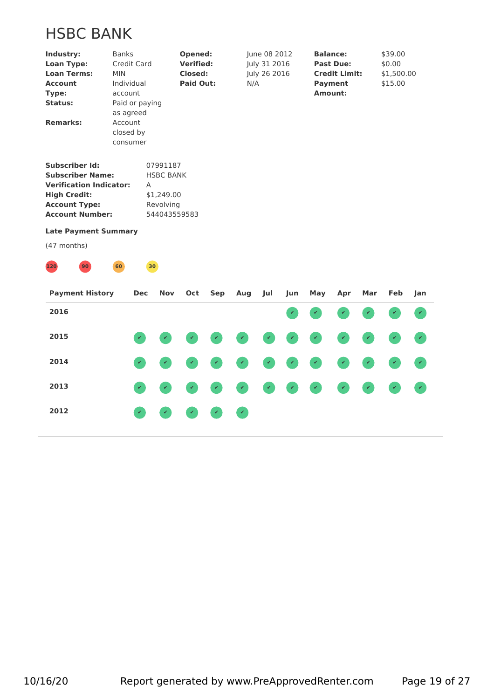# HSBC BANK

| Industry:<br><b>Loan Type:</b><br><b>Loan Terms:</b><br><b>Account</b><br>Type:<br>Status:<br><b>Remarks:</b>                                                                                             | <b>Banks</b><br><b>MIN</b><br>Individual<br>account<br>Account<br>closed by | Credit Card<br>Paid or paying<br>as agreed<br>consumer |                                                                         | Opened:<br><b>Verified:</b><br><b>Closed:</b><br><b>Paid Out:</b> |            | N/A | June 08 2012<br>July 31 2016<br>July 26 2016 |     |     | <b>Balance:</b><br><b>Past Due:</b><br><b>Credit Limit:</b><br><b>Payment</b><br><b>Amount:</b> |              | \$39.00<br>\$0.00<br>\$1,500.00<br>\$15.00 |              |
|-----------------------------------------------------------------------------------------------------------------------------------------------------------------------------------------------------------|-----------------------------------------------------------------------------|--------------------------------------------------------|-------------------------------------------------------------------------|-------------------------------------------------------------------|------------|-----|----------------------------------------------|-----|-----|-------------------------------------------------------------------------------------------------|--------------|--------------------------------------------|--------------|
| <b>Subscriber Id:</b><br><b>Subscriber Name:</b><br><b>Verification Indicator:</b><br><b>High Credit:</b><br><b>Account Type:</b><br><b>Account Number:</b><br><b>Late Payment Summary</b><br>(47 months) |                                                                             | Α                                                      | 07991187<br><b>HSBC BANK</b><br>\$1,249.00<br>Revolving<br>544043559583 |                                                                   |            |     |                                              |     |     |                                                                                                 |              |                                            |              |
| 120<br>90<br><b>Payment History</b>                                                                                                                                                                       | 60                                                                          | Dec                                                    | 30 <sub>o</sub><br>Nov                                                  | Oct                                                               | <b>Sep</b> | Aug | Jul                                          | Jun | May | Apr                                                                                             | Mar          | Feb                                        | Jan          |
| 2016                                                                                                                                                                                                      |                                                                             |                                                        |                                                                         |                                                                   |            |     |                                              |     |     | $\checkmark$                                                                                    | $\checkmark$ |                                            | $\checkmark$ |
| 2015                                                                                                                                                                                                      |                                                                             |                                                        |                                                                         |                                                                   |            |     |                                              |     |     |                                                                                                 |              |                                            |              |
| 2014                                                                                                                                                                                                      |                                                                             |                                                        |                                                                         |                                                                   |            | v   |                                              |     |     |                                                                                                 |              |                                            |              |
| 2013                                                                                                                                                                                                      |                                                                             |                                                        |                                                                         |                                                                   |            |     |                                              |     |     |                                                                                                 |              |                                            |              |
| 2012                                                                                                                                                                                                      |                                                                             |                                                        |                                                                         |                                                                   |            | V.  |                                              |     |     |                                                                                                 |              |                                            |              |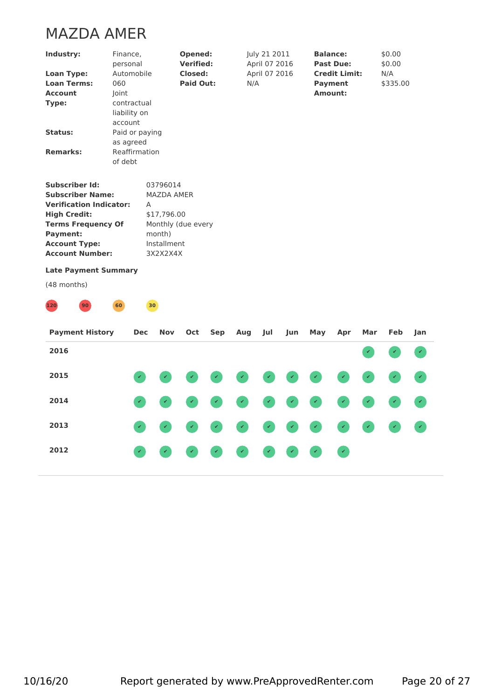# MAZDA AMER

| Industry:                      | Finance,<br>personal | Opened:<br><b>Verified:</b> | July 21 2011<br>April 07 2016 | <b>Balance:</b><br><b>Past Due:</b> | \$0.00<br>\$0.00 |  |
|--------------------------------|----------------------|-----------------------------|-------------------------------|-------------------------------------|------------------|--|
| <b>Loan Type:</b>              | Automobile           | <b>Closed:</b>              | April 07 2016                 | <b>Credit Limit:</b>                | N/A              |  |
| <b>Loan Terms:</b>             | 060                  | Paid Out:                   | N/A                           | Payment                             | \$335.00         |  |
| <b>Account</b>                 | Joint                |                             |                               | Amount:                             |                  |  |
| Type:                          | contractual          |                             |                               |                                     |                  |  |
|                                | liability on         |                             |                               |                                     |                  |  |
|                                | account              |                             |                               |                                     |                  |  |
| Status:                        | Paid or paying       |                             |                               |                                     |                  |  |
|                                | as agreed            |                             |                               |                                     |                  |  |
| <b>Remarks:</b>                | Reaffirmation        |                             |                               |                                     |                  |  |
|                                | of debt              |                             |                               |                                     |                  |  |
| <b>Subscriber Id:</b>          | 03796014             |                             |                               |                                     |                  |  |
| <b>Subscriber Name:</b>        |                      | <b>MAZDA AMER</b>           |                               |                                     |                  |  |
| <b>Verification Indicator:</b> |                      |                             |                               |                                     |                  |  |
| <b>High Credit:</b>            | A                    | \$17,796.00                 |                               |                                     |                  |  |
|                                |                      |                             |                               |                                     |                  |  |
| <b>Terms Frequency Of</b>      |                      | Monthly (due every          |                               |                                     |                  |  |
| <b>Payment:</b>                | month)               |                             |                               |                                     |                  |  |
| <b>Account Type:</b>           |                      | Installment                 |                               |                                     |                  |  |
| <b>Account Number:</b>         |                      | 3X2X2X4X                    |                               |                                     |                  |  |
| <b>Late Payment Summary</b>    |                      |                             |                               |                                     |                  |  |



| <b>Payment History</b> | Dec | Nov                                                                                                                               |  | Oct Sep Aug Jul | Jun | May                                                                       | Apr | Mar | Feb lan |
|------------------------|-----|-----------------------------------------------------------------------------------------------------------------------------------|--|-----------------|-----|---------------------------------------------------------------------------|-----|-----|---------|
| 2016                   |     |                                                                                                                                   |  |                 |     |                                                                           |     |     |         |
| 2015                   |     |                                                                                                                                   |  |                 |     | .                                                                         |     |     |         |
| 2014                   |     |                                                                                                                                   |  |                 |     | .                                                                         |     |     |         |
| 2013                   |     |                                                                                                                                   |  |                 |     | .                                                                         |     |     |         |
| 2012                   |     | $\begin{pmatrix} \mathcal{L} & \mathcal{L} & \mathcal{L} \end{pmatrix} = \begin{pmatrix} \mathcal{L} & \mathcal{L} \end{pmatrix}$ |  |                 |     | $\bullet \bullet \bullet \bullet \bullet \bullet \bullet \bullet \bullet$ |     |     |         |
|                        |     |                                                                                                                                   |  |                 |     |                                                                           |     |     |         |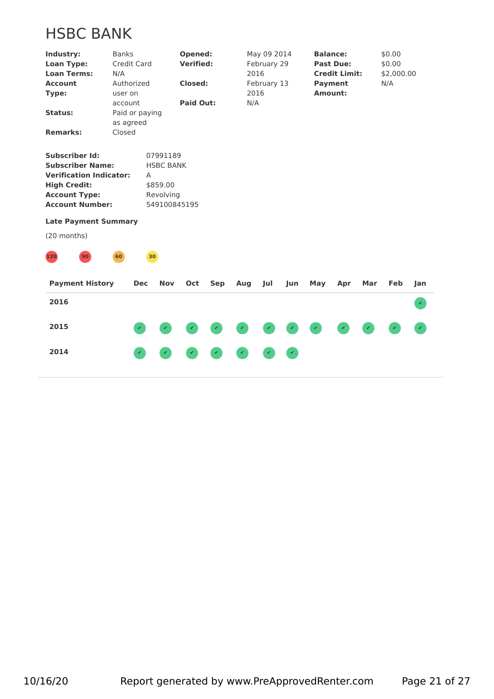# HSBC BANK

| Industry:<br><b>Loan Type:</b><br><b>Loan Terms:</b><br><b>Account</b> | <b>Banks</b><br>N/A<br>Authorized | <b>Credit Card</b> |                  | Opened:<br><b>Verified:</b><br><b>Closed:</b> |     |     | May 09 2014<br>February 29<br>2016<br>February 13 |     |     | <b>Balance:</b><br><b>Past Due:</b><br><b>Credit Limit:</b><br><b>Payment</b> |     | \$0.00<br>\$0.00<br>\$2,000.00<br>N/A |                             |
|------------------------------------------------------------------------|-----------------------------------|--------------------|------------------|-----------------------------------------------|-----|-----|---------------------------------------------------|-----|-----|-------------------------------------------------------------------------------|-----|---------------------------------------|-----------------------------|
| Type:                                                                  | user on                           |                    |                  |                                               |     |     | 2016                                              |     |     | Amount:                                                                       |     |                                       |                             |
|                                                                        | account                           |                    |                  | <b>Paid Out:</b>                              |     | N/A |                                                   |     |     |                                                                               |     |                                       |                             |
| <b>Status:</b>                                                         |                                   | Paid or paying     |                  |                                               |     |     |                                                   |     |     |                                                                               |     |                                       |                             |
|                                                                        | as agreed                         |                    |                  |                                               |     |     |                                                   |     |     |                                                                               |     |                                       |                             |
| <b>Remarks:</b>                                                        | Closed                            |                    |                  |                                               |     |     |                                                   |     |     |                                                                               |     |                                       |                             |
| <b>Subscriber Id:</b>                                                  |                                   |                    | 07991189         |                                               |     |     |                                                   |     |     |                                                                               |     |                                       |                             |
| <b>Subscriber Name:</b>                                                |                                   |                    | <b>HSBC BANK</b> |                                               |     |     |                                                   |     |     |                                                                               |     |                                       |                             |
| <b>Verification Indicator:</b>                                         |                                   | Α                  |                  |                                               |     |     |                                                   |     |     |                                                                               |     |                                       |                             |
| <b>High Credit:</b>                                                    |                                   |                    | \$859.00         |                                               |     |     |                                                   |     |     |                                                                               |     |                                       |                             |
| <b>Account Type:</b>                                                   |                                   |                    | Revolving        |                                               |     |     |                                                   |     |     |                                                                               |     |                                       |                             |
| <b>Account Number:</b>                                                 |                                   |                    | 549100845195     |                                               |     |     |                                                   |     |     |                                                                               |     |                                       |                             |
| <b>Late Payment Summary</b>                                            |                                   |                    |                  |                                               |     |     |                                                   |     |     |                                                                               |     |                                       |                             |
| (20 months)                                                            |                                   |                    |                  |                                               |     |     |                                                   |     |     |                                                                               |     |                                       |                             |
| 120<br>90 <sup>°</sup>                                                 | 60                                |                    | 30)              |                                               |     |     |                                                   |     |     |                                                                               |     |                                       |                             |
| <b>Payment History</b>                                                 |                                   | <b>Dec</b>         | <b>Nov</b>       | Oct                                           | Sep | Aug | Jul                                               | Jun | May | Apr                                                                           | Mar | Feb                                   | Jan                         |
| 2016                                                                   |                                   |                    |                  |                                               |     |     |                                                   |     |     |                                                                               |     |                                       | $\mathcal{L}$               |
| 2015                                                                   |                                   |                    |                  |                                               |     |     |                                                   |     |     |                                                                               |     |                                       | $\mathcal{L}_{\mathcal{C}}$ |
|                                                                        |                                   |                    |                  |                                               |     |     |                                                   |     |     |                                                                               |     |                                       |                             |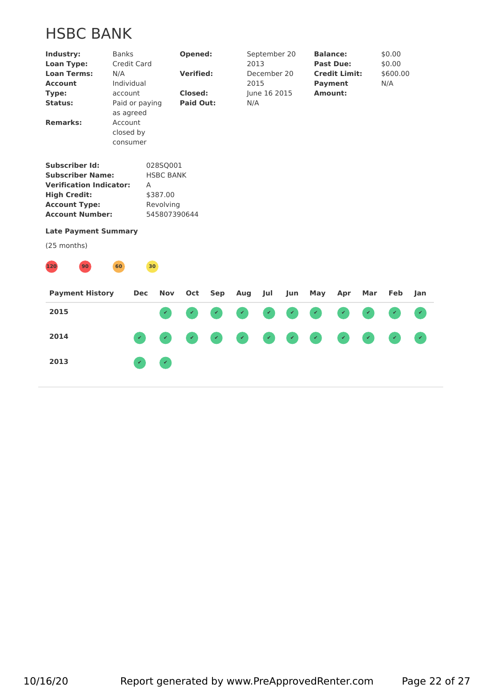# HSBC BANK

| Industry:<br><b>Loan Type:</b><br><b>Loan Terms:</b><br><b>Account</b><br>Type:<br><b>Status:</b><br><b>Remarks:</b>                                        | <b>Banks</b><br>N/A<br>Individual<br>account<br>as agreed<br>Account<br>closed by<br>consumer | Credit Card<br>Paid or paying |                                                                       | Opened:<br><b>Verified:</b><br>Closed:<br><b>Paid Out:</b> |            | 2013<br>2015<br>N/A | September 20<br>December 20<br>June 16 2015 |     | Amount: | <b>Balance:</b><br><b>Past Due:</b><br><b>Credit Limit:</b><br><b>Payment</b> |              | \$0.00<br>\$0.00<br>\$600.00<br>N/A |              |  |
|-------------------------------------------------------------------------------------------------------------------------------------------------------------|-----------------------------------------------------------------------------------------------|-------------------------------|-----------------------------------------------------------------------|------------------------------------------------------------|------------|---------------------|---------------------------------------------|-----|---------|-------------------------------------------------------------------------------|--------------|-------------------------------------|--------------|--|
| <b>Subscriber Id:</b><br><b>Subscriber Name:</b><br><b>Verification Indicator:</b><br><b>High Credit:</b><br><b>Account Type:</b><br><b>Account Number:</b> |                                                                                               | A                             | 028SQ001<br><b>HSBC BANK</b><br>\$387.00<br>Revolving<br>545807390644 |                                                            |            |                     |                                             |     |         |                                                                               |              |                                     |              |  |
| <b>Late Payment Summary</b><br>(25 months)                                                                                                                  |                                                                                               |                               |                                                                       |                                                            |            |                     |                                             |     |         |                                                                               |              |                                     |              |  |
| 120<br>90<br><b>Payment History</b>                                                                                                                         | 60                                                                                            | 30<br><b>Dec</b>              | <b>Nov</b>                                                            | Oct                                                        | <b>Sep</b> | Aug                 | Jul                                         | Jun | May     | Apr                                                                           | Mar          | Feb                                 | Jan          |  |
| 2015                                                                                                                                                        |                                                                                               |                               | $\checkmark$                                                          |                                                            |            |                     |                                             |     |         |                                                                               |              |                                     |              |  |
| 2014                                                                                                                                                        |                                                                                               | $\checkmark$                  |                                                                       |                                                            |            |                     |                                             |     |         |                                                                               | $\checkmark$ |                                     | $\checkmark$ |  |
| 2013                                                                                                                                                        |                                                                                               |                               |                                                                       |                                                            |            |                     |                                             |     |         |                                                                               |              |                                     |              |  |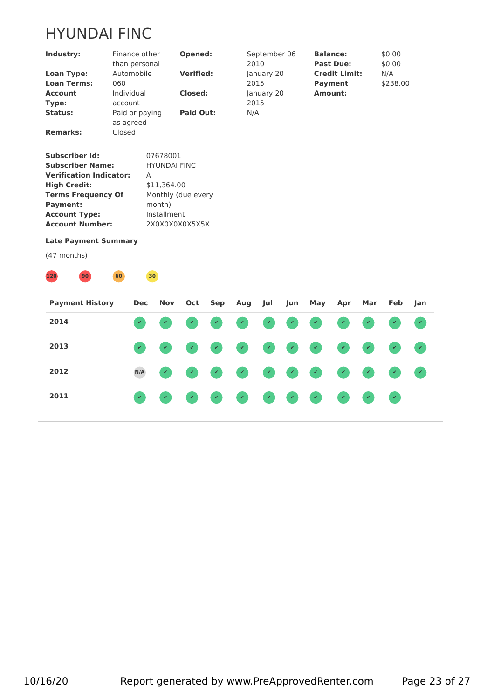# HYUNDAI FINC

| Industry:                      | Finance other<br>than personal |                     | Opened:            | September 06<br>2010 | <b>Balance:</b><br><b>Past Due:</b> | \$0.00<br>\$0.00 |  |
|--------------------------------|--------------------------------|---------------------|--------------------|----------------------|-------------------------------------|------------------|--|
| Loan Type:                     | Automobile                     |                     | <b>Verified:</b>   | January 20           | <b>Credit Limit:</b>                | N/A              |  |
| <b>Loan Terms:</b>             | 060                            |                     |                    | 2015                 | <b>Payment</b>                      | \$238.00         |  |
| <b>Account</b>                 | Individual                     |                     | Closed:            | January 20           | <b>Amount:</b>                      |                  |  |
| Type:                          | account                        |                     |                    | 2015                 |                                     |                  |  |
| Status:                        | Paid or paying<br>as agreed    |                     | <b>Paid Out:</b>   | N/A                  |                                     |                  |  |
| <b>Remarks:</b>                | Closed                         |                     |                    |                      |                                     |                  |  |
| <b>Subscriber Id:</b>          |                                | 07678001            |                    |                      |                                     |                  |  |
| <b>Subscriber Name:</b>        |                                | <b>HYUNDAI FINC</b> |                    |                      |                                     |                  |  |
| <b>Verification Indicator:</b> |                                | A                   |                    |                      |                                     |                  |  |
| <b>High Credit:</b>            |                                | \$11,364.00         |                    |                      |                                     |                  |  |
| <b>Terms Frequency Of</b>      |                                |                     | Monthly (due every |                      |                                     |                  |  |
| <b>Payment:</b>                |                                | month)              |                    |                      |                                     |                  |  |
| <b>Account Type:</b>           |                                | Installment         |                    |                      |                                     |                  |  |
| <b>Account Number:</b>         |                                | 2X0X0X0X0X5X5X      |                    |                      |                                     |                  |  |
| <b>Late Payment Summary</b>    |                                |                     |                    |                      |                                     |                  |  |



| <b>Payment History</b> | Dec |  | Nov Oct Sep Aug Jul |  | Jun May Apr Mar Feb Jan |  |                             |  |
|------------------------|-----|--|---------------------|--|-------------------------|--|-----------------------------|--|
| 2014                   |     |  |                     |  | .                       |  |                             |  |
| 2013                   |     |  |                     |  | .                       |  |                             |  |
| 2012                   | N/A |  |                     |  | .                       |  |                             |  |
| 2011                   |     |  |                     |  | .                       |  | $\mathcal{A}^{\mathcal{A}}$ |  |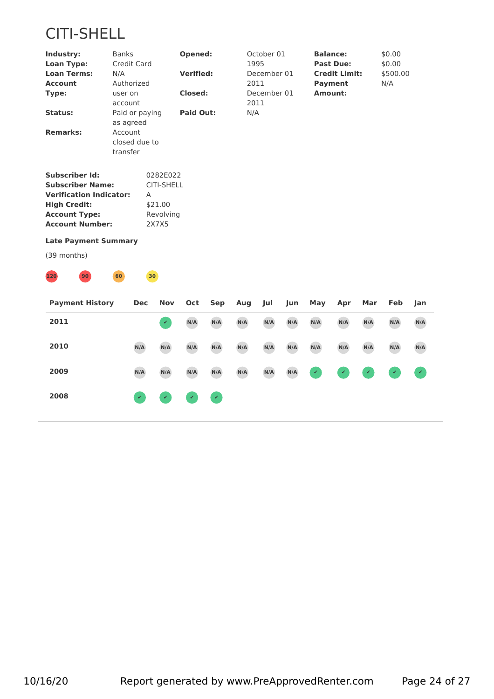

| Industry:<br><b>Loan Type:</b><br><b>Loan Terms:</b><br><b>Account</b><br>Type:                                                                             | <b>Banks</b><br>N/A<br>Authorized<br>user on<br>account | Credit Card     |                                                         | Opened:<br><b>Verified:</b><br><b>Closed:</b> |     | 1995<br>2011<br>2011 | October 01<br>December 01<br>December 01 |     | <b>Balance:</b><br><b>Payment</b><br><b>Amount:</b> | <b>Past Due:</b><br><b>Credit Limit:</b> |     | \$0.00<br>\$0.00<br>\$500.00<br>N/A |               |  |
|-------------------------------------------------------------------------------------------------------------------------------------------------------------|---------------------------------------------------------|-----------------|---------------------------------------------------------|-----------------------------------------------|-----|----------------------|------------------------------------------|-----|-----------------------------------------------------|------------------------------------------|-----|-------------------------------------|---------------|--|
| <b>Status:</b>                                                                                                                                              | as agreed                                               | Paid or paying  |                                                         | <b>Paid Out:</b>                              |     | N/A                  |                                          |     |                                                     |                                          |     |                                     |               |  |
| <b>Remarks:</b>                                                                                                                                             | Account<br>transfer                                     | closed due to   |                                                         |                                               |     |                      |                                          |     |                                                     |                                          |     |                                     |               |  |
| <b>Subscriber Id:</b><br><b>Subscriber Name:</b><br><b>Verification Indicator:</b><br><b>High Credit:</b><br><b>Account Type:</b><br><b>Account Number:</b> |                                                         | Α               | 0282E022<br>CITI-SHELL<br>\$21.00<br>Revolving<br>2X7X5 |                                               |     |                      |                                          |     |                                                     |                                          |     |                                     |               |  |
| <b>Late Payment Summary</b>                                                                                                                                 |                                                         |                 |                                                         |                                               |     |                      |                                          |     |                                                     |                                          |     |                                     |               |  |
| (39 months)                                                                                                                                                 |                                                         |                 |                                                         |                                               |     |                      |                                          |     |                                                     |                                          |     |                                     |               |  |
| 120<br>90                                                                                                                                                   | 60                                                      | 30 <sub>o</sub> |                                                         |                                               |     |                      |                                          |     |                                                     |                                          |     |                                     |               |  |
| <b>Payment History</b>                                                                                                                                      |                                                         | <b>Dec</b>      | <b>Nov</b>                                              | Oct                                           | Sep | Aug                  | Jul                                      | Jun | May                                                 | Apr                                      | Mar | Feb                                 | Jan           |  |
| 2011                                                                                                                                                        |                                                         |                 | $\mathcal{L}$                                           | N/A                                           | N/A | N/A                  | N/A                                      | N/A | N/A                                                 | N/A                                      | N/A | N/A                                 | N/A           |  |
| 2010                                                                                                                                                        |                                                         | N/A             | N/A                                                     | N/A                                           | N/A | N/A                  | N/A                                      | N/A | N/A                                                 | N/A                                      | N/A | N/A                                 | N/A           |  |
| 2009                                                                                                                                                        |                                                         | N/A             | N/A                                                     | N/A                                           | N/A | N/A                  | N/A                                      | N/A |                                                     |                                          |     |                                     | $\mathcal{L}$ |  |
| 2008                                                                                                                                                        |                                                         |                 |                                                         |                                               | v   |                      |                                          |     |                                                     |                                          |     |                                     |               |  |
|                                                                                                                                                             |                                                         |                 |                                                         |                                               |     |                      |                                          |     |                                                     |                                          |     |                                     |               |  |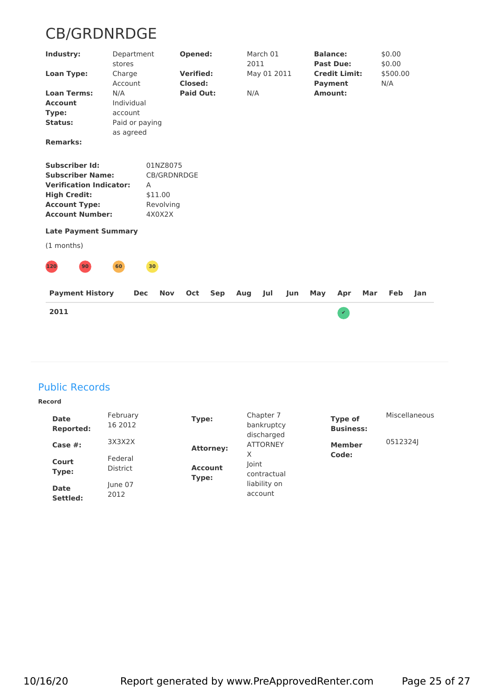# CB/GRDNRDGE

| Industry:                                                                                                                                                   | Department<br>stores                                        |                                                                | Opened:                            |     | 2011 | March 01    |     |         | <b>Balance:</b><br><b>Past Due:</b>    |     | \$0.00<br>\$0.00 |     |  |
|-------------------------------------------------------------------------------------------------------------------------------------------------------------|-------------------------------------------------------------|----------------------------------------------------------------|------------------------------------|-----|------|-------------|-----|---------|----------------------------------------|-----|------------------|-----|--|
| <b>Loan Type:</b>                                                                                                                                           | Charge<br>Account                                           |                                                                | <b>Verified:</b><br><b>Closed:</b> |     |      | May 01 2011 |     |         | <b>Credit Limit:</b><br><b>Payment</b> |     | \$500.00<br>N/A  |     |  |
| <b>Loan Terms:</b><br><b>Account</b><br>Type:<br><b>Status:</b><br><b>Remarks:</b>                                                                          | N/A<br>Individual<br>account<br>Paid or paying<br>as agreed |                                                                | <b>Paid Out:</b>                   |     | N/A  |             |     | Amount: |                                        |     |                  |     |  |
| <b>Subscriber Id:</b><br><b>Subscriber Name:</b><br><b>Verification Indicator:</b><br><b>High Credit:</b><br><b>Account Type:</b><br><b>Account Number:</b> |                                                             | 01NZ8075<br>CB/GRDNRDGE<br>A<br>\$11.00<br>Revolving<br>4X0X2X |                                    |     |      |             |     |         |                                        |     |                  |     |  |
| <b>Late Payment Summary</b>                                                                                                                                 |                                                             |                                                                |                                    |     |      |             |     |         |                                        |     |                  |     |  |
| (1 months)                                                                                                                                                  |                                                             |                                                                |                                    |     |      |             |     |         |                                        |     |                  |     |  |
| $120$<br>90 <sup>°</sup>                                                                                                                                    | 60                                                          | 30                                                             |                                    |     |      |             |     |         |                                        |     |                  |     |  |
| <b>Payment History</b>                                                                                                                                      | <b>Dec</b>                                                  | <b>Nov</b>                                                     | Oct                                | Sep | Aug  | Jul         | Jun | May     | Apr                                    | Mar | Feb              | Jan |  |
| 2011                                                                                                                                                        |                                                             |                                                                |                                    |     |      |             |     |         | $\mathcal{L}$                          |     |                  |     |  |
|                                                                                                                                                             |                                                             |                                                                |                                    |     |      |             |     |         |                                        |     |                  |     |  |

# Public Records

#### **Record**

| <b>Date</b><br><b>Reported:</b> | February<br>16 2012        | Type:                   | Chapter 7<br>bankruptcy       | Type of<br><b>Business:</b> | Miscellaneous |
|---------------------------------|----------------------------|-------------------------|-------------------------------|-----------------------------|---------------|
| Case $#$ :                      | 3X3X2X                     | <b>Attorney:</b>        | discharged<br><b>ATTORNEY</b> | <b>Member</b>               | 05123241      |
| Court<br>Type:                  | Federal<br><b>District</b> | <b>Account</b><br>Type: | Χ<br>Joint<br>contractual     | Code:                       |               |
| <b>Date</b><br>Settled:         | June 07<br>2012            |                         | liability on<br>account       |                             |               |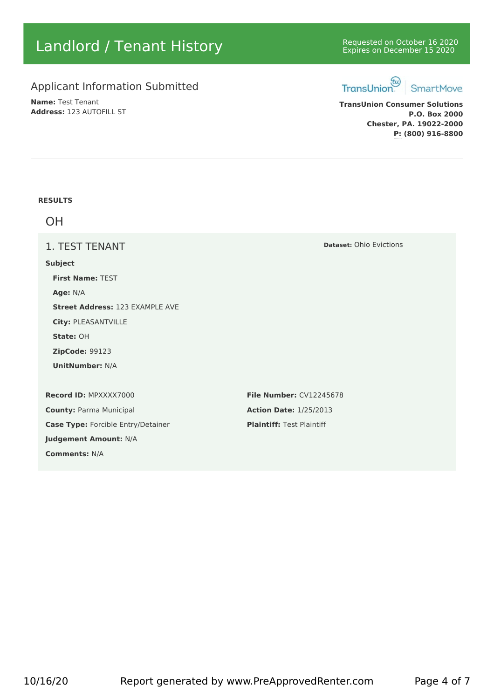# Landlord / Tenant History **Expires on December 16 2020** Requested on October 16 2020

# Applicant Information Submitted TransUnion

**Name:** Test Tenant **Address:** 123 AUTOFILL ST



**TransUnion Consumer Solutions P.O. Box 2000 Chester, PA. 19022-2000 P: (800) 916-8800**

#### **RESULTS**

OH

1. TEST TENANT

#### **Subject**

**First Name:** TEST **Age:** N/A **Street Address:** 123 EXAMPLE AVE **City:** PLEASANTVILLE **State:** OH **ZipCode:** 99123 **UnitNumber:** N/A **Record ID:** MPXXXX7000 **File Number:** CV12245678 **County:** Parma Municipal **Action Date:** 1/25/2013 **Case Type:** Forcible Entry/Detainer **Plaintiff:** Test Plaintiff

**Judgement Amount:** N/A

**Comments:** N/A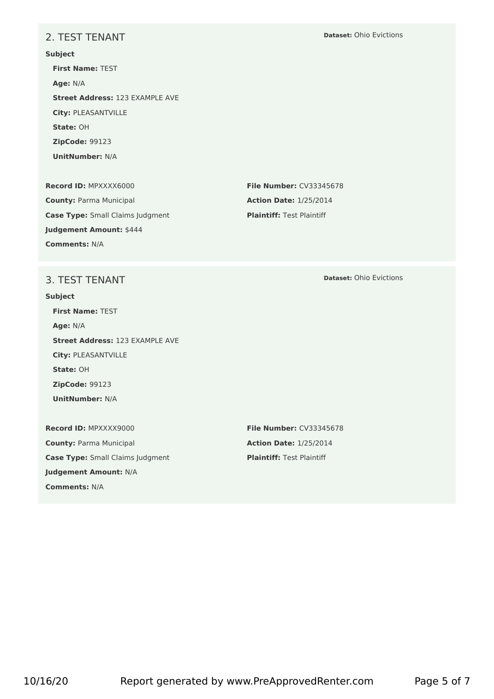# 2. TEST TENANT

**Subject First Name:** TEST **Age:** N/A **Street Address:** 123 EXAMPLE AVE **City:** PLEASANTVILLE **State:** OH **ZipCode:** 99123 **UnitNumber:** N/A

**Record ID:** MPXXXX6000 **File Number:** CV33345678 **County:** Parma Municipal **Action Date:** 1/25/2014 **Case Type:** Small Claims Judgment **Plaintiff:** Test Plaintiff **Judgement Amount:** \$444 **Comments:** N/A

## 3. TEST TENANT

#### **Subject**

**First Name:** TEST **Age:** N/A **Street Address:** 123 EXAMPLE AVE **City:** PLEASANTVILLE **State:** OH **ZipCode:** 99123 **UnitNumber:** N/A

**Record ID:** MPXXXX9000 **File Number:** CV33345678 **County:** Parma Municipal **Action Date:** 1/25/2014 **Case Type:** Small Claims Judgment **Plaintiff:** Test Plaintiff **Judgement Amount:** N/A **Comments:** N/A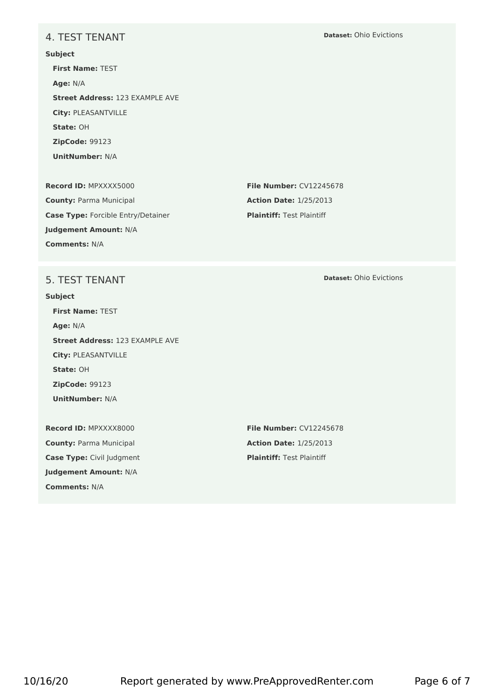## 4. TEST TENANT

**Subject First Name:** TEST **Age:** N/A **Street Address:** 123 EXAMPLE AVE **City:** PLEASANTVILLE **State:** OH **ZipCode:** 99123 **UnitNumber:** N/A **Record ID:** MPXXXX5000 **File Number:** CV12245678

**County:** Parma Municipal **Action Date:** 1/25/2013 **Case Type:** Forcible Entry/Detainer **Plaintiff:** Test Plaintiff **Judgement Amount:** N/A **Comments:** N/A

#### **Dataset:** Ohio Evictions

## 5. TEST TENANT

#### **Subject**

**First Name:** TEST **Age:** N/A **Street Address:** 123 EXAMPLE AVE **City:** PLEASANTVILLE **State:** OH **ZipCode:** 99123 **UnitNumber:** N/A

**Record ID:** MPXXXX8000 **File Number:** CV12245678 **County:** Parma Municipal **Action Date:** 1/25/2013 **Case Type:** Civil Judgment **Plaintiff:** Test Plaintiff **Judgement Amount:** N/A **Comments:** N/A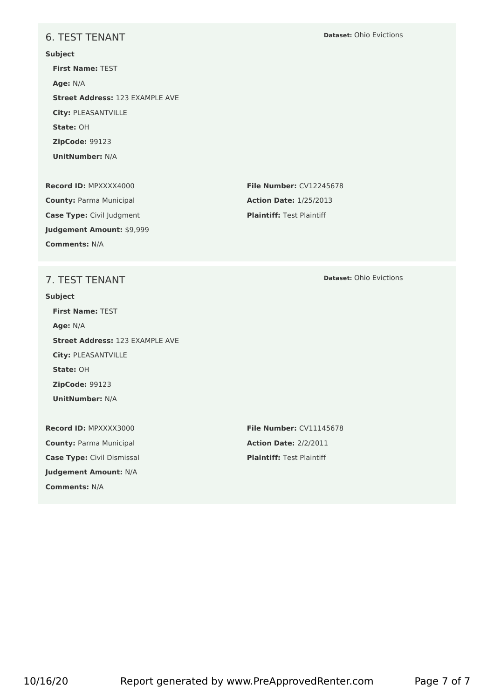## 6. TEST TENANT

**Subject First Name:** TEST **Age:** N/A **Street Address:** 123 EXAMPLE AVE **City:** PLEASANTVILLE **State:** OH **ZipCode:** 99123 **UnitNumber:** N/A **Record ID:** MPXXXX4000 **File Number:** CV12245678

**County:** Parma Municipal **Action Date:** 1/25/2013 **Case Type:** Civil Judgment **Plaintiff:** Test Plaintiff **Judgement Amount:** \$9,999 **Comments:** N/A

# 7. TEST TENANT

#### **Subject**

**First Name:** TEST **Age:** N/A **Street Address:** 123 EXAMPLE AVE **City:** PLEASANTVILLE **State:** OH **ZipCode:** 99123 **UnitNumber:** N/A

**Record ID:** MPXXXX3000 **File Number:** CV11145678 **County:** Parma Municipal **Action Date:** 2/2/2011 **Case Type:** Civil Dismissal **Plaintiff:** Test Plaintiff **Judgement Amount:** N/A **Comments:** N/A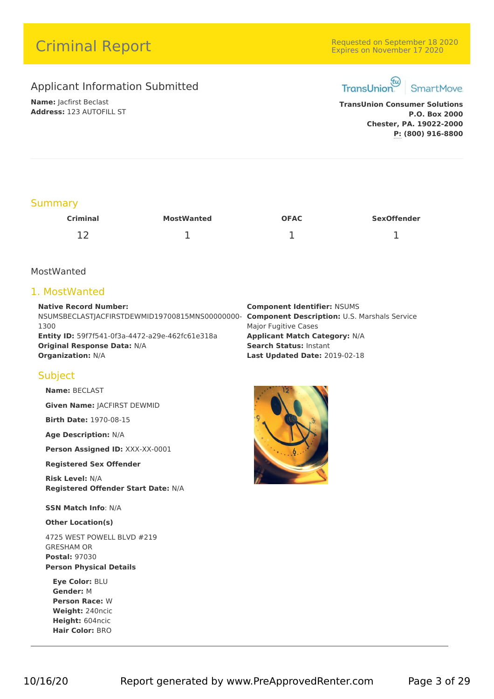# **Criminal Report Criminal Report** Expires on November 18 2020

# Applicant Information Submitted TransUnion

**Name:** Jacfirst Beclast **Address:** 123 AUTOFILL ST



**TransUnion Consumer Solutions P.O. Box 2000 Chester, PA. 19022-2000 P: (800) 916-8800**

# **Summary**

| <b>Criminal</b>     | <b>MostWanted</b> | <b>OFAC</b> | <b>SexOffender</b> |  |
|---------------------|-------------------|-------------|--------------------|--|
| 1 <sub>2</sub><br>ᅩ | -                 |             | ∸                  |  |

## MostWanted

# 1. MostWanted

**Native Record Number:** NSUMSBECLASTJACFIRSTDEWMID19700815MNS00000000- **Component Description:** U.S. Marshals Service 1300 **Entity ID:** 59f7f541-0f3a-4472-a29e-462fc61e318a **Applicant Match Category:** N/A **Original Response Data:** N/A **Search Status:** Instant **Organization:** N/A **Last Updated Date:** 2019-02-18

# **Component Identifier:** NSUMS Major Fugitive Cases

# **Subject**

**Name:** BECLAST

**Given Name:** JACFIRST DEWMID

**Birth Date:** 1970-08-15

**Age Description:** N/A

**Person Assigned ID:** XXX-XX-0001

#### **Registered Sex Offender**

**Risk Level:** N/A **Registered Offender Start Date:** N/A

**SSN Match Info**: N/A

#### **Other Location(s)**

4725 WEST POWELL BLVD #219 GRESHAM OR **Postal:** 97030 **Person Physical Details**

**Eye Color:** BLU **Gender:** M **Person Race:** W **Weight:** 240ncic **Height:** 604ncic **Hair Color:** BRO

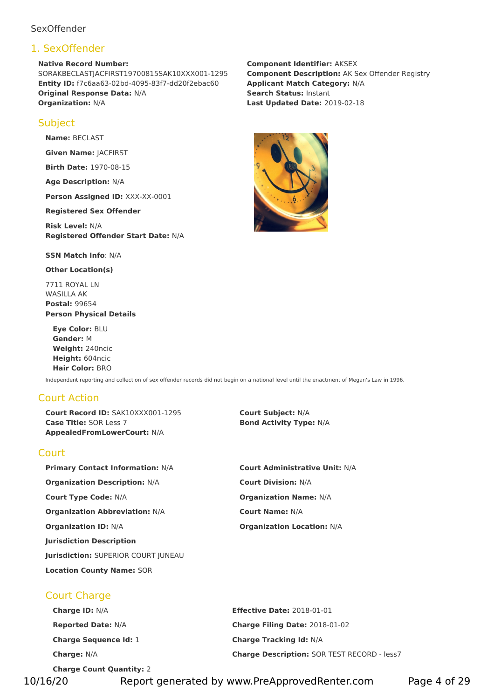## **SexOffender**

# 1. SexOffender

**Native Record Number:** SORAKBECLASTJACFIRST19700815SAK10XXX001-1295 **Entity ID:** f7c6aa63-02bd-4095-83f7-dd20f2ebac60 **Applicant Match Category:** N/A **Original Response Data:** N/A **Search Status:** Instant **Organization:** N/A **Last Updated Date:** 2019-02-18

# **Subject**

**Name:** BECLAST

**Given Name:** JACFIRST

**Birth Date:** 1970-08-15

**Age Description:** N/A

**Person Assigned ID:** XXX-XX-0001

**Registered Sex Offender**

**Risk Level:** N/A **Registered Offender Start Date:** N/A

**SSN Match Info**: N/A

**Other Location(s)**

7711 ROYAL LN WASILLA AK **Postal:** 99654 **Person Physical Details**

**Eye Color:** BLU **Gender:** M **Weight:** 240ncic **Height:** 604ncic **Hair Color:** BRO

Independent reporting and collection of sex offender records did not begin on a national level until the enactment of Megan's Law in 1996.

# Court Action

**Court Record ID:** SAK10XXX001-1295 **Court Subject:** N/A **Case Title:** SOR Less 7 **Bond Activity Type:** N/A **AppealedFromLowerCourt:** N/A

## Court

**Primary Contact Information:** N/A **Court Administrative Unit:** N/A **Organization Description:** N/A **Court Division:** N/A **Court Type Code:** N/A **Organization Name:** N/A **Organization Abbreviation:** N/A **Court Name:** N/A **Organization ID:** N/A **Organization Location:** N/A **Jurisdiction Description Jurisdiction:** SUPERIOR COURT JUNEAU **Location County Name:** SOR

Court Charge

| <b>Charge ID: N/A</b>           | <b>Effective Date: 2018-01-01</b>                  |
|---------------------------------|----------------------------------------------------|
| <b>Reported Date: N/A</b>       | Charge Filing Date: 2018-01-02                     |
| <b>Charge Sequence Id: 1</b>    | <b>Charge Tracking Id: N/A</b>                     |
| <b>Charge: N/A</b>              | <b>Charge Description: SOR TEST RECORD - less7</b> |
| <b>Charge Count Quantity: 2</b> |                                                    |

**Component Identifier:** AKSEX **Component Description:** AK Sex Offender Registry



10/16/20 Report generated by www.PreApprovedRenter.com Page 4 of 29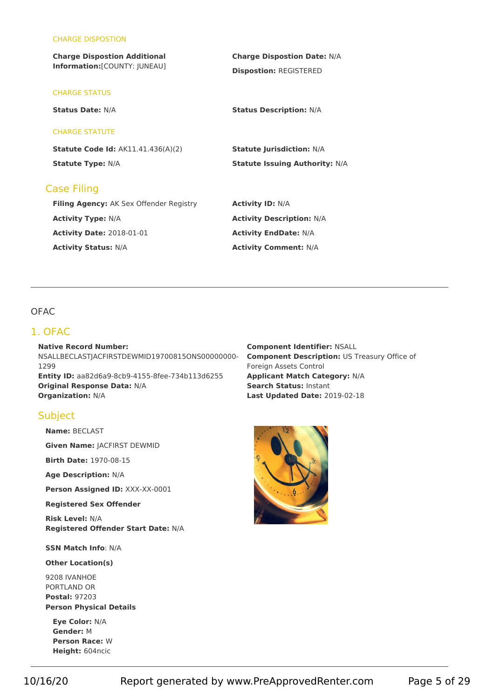#### CHARGE DISPOSTION

| <b>Charge Dispostion Additional</b>       | <b>Charge Dispostion Date: N/A</b><br><b>Dispostion: REGISTERED</b> |  |  |  |  |  |  |
|-------------------------------------------|---------------------------------------------------------------------|--|--|--|--|--|--|
| Information: [COUNTY: JUNEAU]             |                                                                     |  |  |  |  |  |  |
| <b>CHARGE STATUS</b>                      |                                                                     |  |  |  |  |  |  |
| <b>Status Date: N/A</b>                   | <b>Status Description: N/A</b>                                      |  |  |  |  |  |  |
| <b>CHARGE STATUTE</b>                     |                                                                     |  |  |  |  |  |  |
| <b>Statute Code Id: AK11.41.436(A)(2)</b> | <b>Statute Jurisdiction: N/A</b>                                    |  |  |  |  |  |  |
| <b>Statute Type: N/A</b>                  | <b>Statute Issuing Authority: N/A</b>                               |  |  |  |  |  |  |
| <b>Case Filing</b>                        |                                                                     |  |  |  |  |  |  |
| Filing Agency: AK Sex Offender Registry   | <b>Activity ID: N/A</b>                                             |  |  |  |  |  |  |
| <b>Activity Type: N/A</b>                 | <b>Activity Description: N/A</b>                                    |  |  |  |  |  |  |
| <b>Activity Date: 2018-01-01</b>          | <b>Activity EndDate: N/A</b>                                        |  |  |  |  |  |  |
| <b>Activity Status: N/A</b>               | <b>Activity Comment: N/A</b>                                        |  |  |  |  |  |  |

## **OFAC**

## 1. OFAC

**Native Record Number:** NSALLBECLASTJACFIRSTDEWMID19700815ONS00000000- 1299 **Entity ID:** aa82d6a9-8cb9-4155-8fee-734b113d6255 **Applicant Match Category:** N/A **Original Response Data:** N/A **Search Status:** Instant **Organization:** N/A **Last Updated Date:** 2019-02-18

#### **Subject**

**Name:** BECLAST

**Given Name:** JACFIRST DEWMID

**Birth Date:** 1970-08-15

**Age Description:** N/A

**Person Assigned ID:** XXX-XX-0001

**Registered Sex Offender**

**Risk Level:** N/A **Registered Offender Start Date:** N/A

**SSN Match Info**: N/A

**Other Location(s)**

9208 IVANHOE PORTLAND OR **Postal:** 97203 **Person Physical Details**

**Eye Color:** N/A **Gender:** M **Person Race:** W **Height:** 604ncic

**Component Identifier:** NSALL **Component Description:** US Treasury Office of Foreign Assets Control

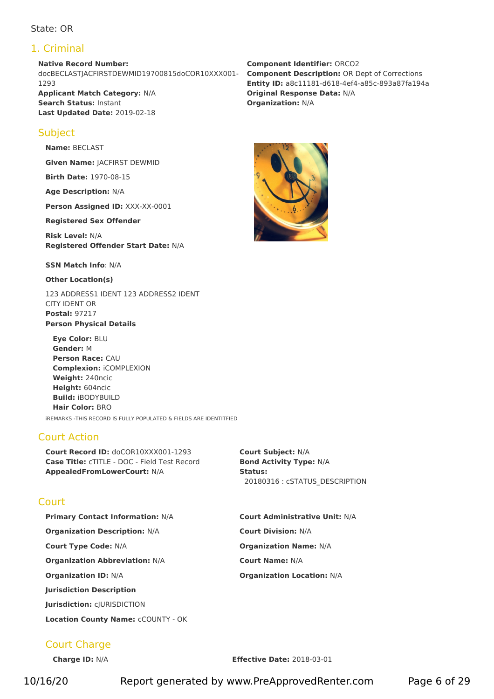## State: OR

# 1. Criminal

**Native Record Number:** docBECLASTJACFIRSTDEWMID19700815doCOR10XXX001- 1293 **Applicant Match Category:** N/A **Original Response Data:** N/A **Search Status:** Instant **Organization:** N/A **Last Updated Date:** 2019-02-18

# **Subject**

**Name:** BECLAST

**Given Name:** JACFIRST DEWMID

**Birth Date:** 1970-08-15

**Age Description:** N/A

**Person Assigned ID:** XXX-XX-0001

**Registered Sex Offender**

**Risk Level:** N/A **Registered Offender Start Date:** N/A

**SSN Match Info**: N/A

**Other Location(s)**

123 ADDRESS1 IDENT 123 ADDRESS2 IDENT CITY IDENT OR **Postal:** 97217 **Person Physical Details**

**Eye Color:** BLU **Gender:** M **Person Race:** CAU **Complexion:** iCOMPLEXION **Weight:** 240ncic **Height:** 604ncic **Build:** iBODYBUILD **Hair Color:** BRO iREMARKS -THIS RECORD IS FULLY POPULATED & FIELDS ARE IDENTITFIED

# Court Action

**Court** 

**Court Record ID:** doCOR10XXX001-1293 **Court Subject:** N/A **Case Title:** cTITLE -DOC - Field Test Record **Bond Activity Type:** N/A **AppealedFromLowerCourt:** N/A **Status:**

20180316 : cSTATUS\_DESCRIPTION

# **Primary Contact Information:** N/A **Court Administrative Unit:** N/A **Organization Description:** N/A **Court Division:** N/A **Court Type Code:** N/A **Organization Name:** N/A **Organization Abbreviation:** N/A **Court Name:** N/A **Organization ID:** N/A **Organization Location:** N/A

# **Jurisdiction:** cJURISDICTION

**Jurisdiction Description**

**Location County Name:** cCOUNTY - OK

# Court Charge

**Charge ID:** N/A **Effective Date:** 2018-03-01

**Component Identifier:** ORCO2 **Component Description:** OR Dept of Corrections **Entity ID:** a8c11181-d618-4ef4-a85c-893a87fa194a



10/16/20 Report generated by www.PreApprovedRenter.com Page 6 of 29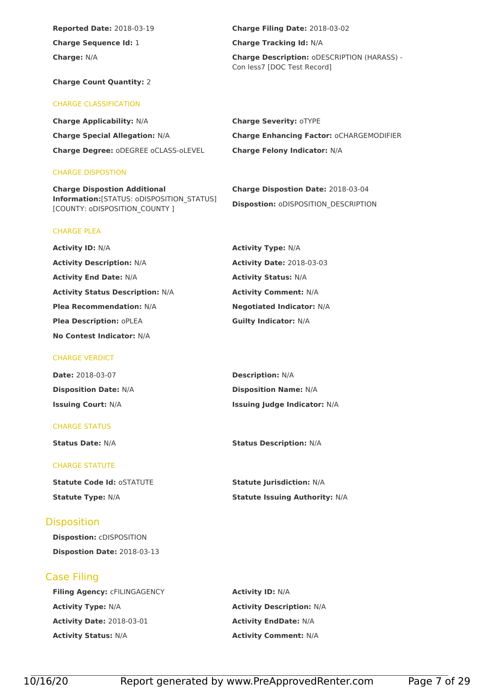**Reported Date:** 2018-03-19 **Charge Filing Date:** 2018-03-02 **Charge Sequence Id:** 1 **Charge Tracking Id:** N/A

**Charge:** N/A **Charge Description:** oDESCRIPTION (HARASS) -<br>Con less7 [DOC Test Record]

#### **Charge Count Quantity:** 2

#### CHARGE CLASSIFICATION

**Charge Applicability:** N/A **Charge Severity:** oTYPE **Charge Degree:** oDEGREE oCLASS-oLEVEL **Charge Felony Indicator:**N/A

#### CHARGE DISPOSTION

CHARGE PLEA

**Charge Dispostion Additional Information:**[STATUS: oDISPOSITION\_STATUS] [COUNTY: oDISPOSITION\_COUNTY ]

# **Charge Special Allegation:** N/A **Charge Enhancing Factor:** oCHARGEMODIFIER

**Charge Dispostion Date:** 2018-03-04 **Dispostion:** oDISPOSITION\_DESCRIPTION

# **Activity ID:** N/A **Activity Type:** N/A **Activity Description:** N/A **Activity Date:** 2018-03-03 **Activity End Date:** N/A **Activity Status:** N/A **Activity Status Description:** N/A **Activity Comment:** N/A **Plea Recommendation:** N/A **Negotiated Indicator:** N/A **Plea Description:** oPLEA **Guilty Indicator:** N/A

**No Contest Indicator:** N/A

#### CHARGE VERDICT

| <b>Date: 2018-03-07</b>      | <b>Description: N/A</b>             |
|------------------------------|-------------------------------------|
| <b>Disposition Date: N/A</b> | <b>Disposition Name: N/A</b>        |
| <b>Issuing Court: N/A</b>    | <b>Issuing Judge Indicator: N/A</b> |

#### CHARGE STATUS

#### CHARGE STATUTE

**Statute Code Id:** oSTATUTE **Statute Jurisdiction:** N/A

## **Disposition**

**Dispostion:** cDISPOSITION **Dispostion Date:** 2018-03-13

# Case Filing

**Filing Agency:** cFILINGAGENCY **Activity ID:** N/A **Activity Type:** N/A **Activity Description:** N/A **Activity Date:** 2018-03-01 **Activity EndDate:** N/A **Activity Status:** N/A **Activity Comment:** N/A

**Status Date:** N/A **Status Description:** N/A

**Statute Type:** N/A **Statute Issuing Authority:** N/A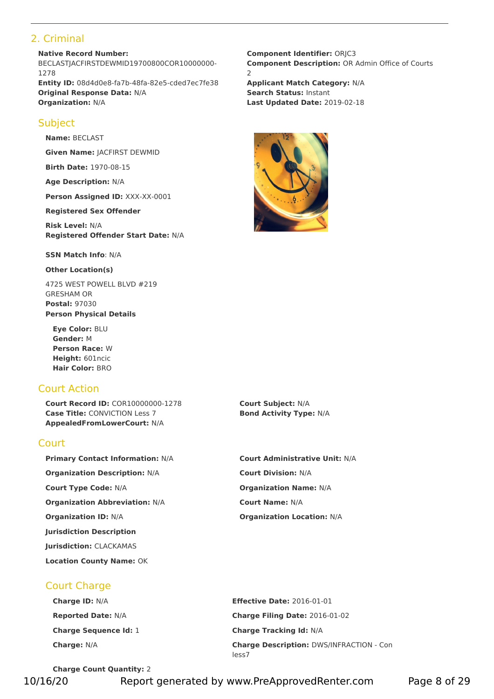# 2. Criminal

**Native Record Number:** BECLASTJACFIRSTDEWMID19700800COR10000000-1278 **Entity ID:** 08d4d0e8-fa7b-48fa-82e5-cded7ec7fe38 **Applicant Match Category:** N/A **Original Response Data:** N/A **Search Status:** Instant **Organization:** N/A **Last Updated Date:** 2019-02-18

# **Subject**

**Name:** BECLAST

**Given Name:** JACFIRST DEWMID

**Birth Date:** 1970-08-15

**Age Description:** N/A

**Person Assigned ID:** XXX-XX-0001

**Registered Sex Offender**

**Risk Level:** N/A **Registered Offender Start Date:** N/A

**SSN Match Info**: N/A

**Other Location(s)**

4725 WEST POWELL BLVD #219 GRESHAM OR **Postal:** 97030 **Person Physical Details**

**Eye Color:** BLU **Gender:** M **Person Race:** W **Height:** 601ncic **Hair Color:** BRO

# Court Action

**Court Record ID:** COR10000000-1278 **Court Subject:** N/A **Case Title:** CONVICTION Less 7 **Bond Activity Type:** N/A **AppealedFromLowerCourt:** N/A

# **Court**

**Organization Description:** N/A **Court Division:** N/A **Court Type Code:** N/A **Organization Name:** N/A **Organization Abbreviation:** N/A **Court Name:** N/A **Organization ID:** N/A **Organization Location:** N/A **Jurisdiction Description Jurisdiction:** CLACKAMAS **Location County Name:** OK

**Component Identifier:** ORJC3 **Component Description: OR Admin Office of Courts** 2



**Primary Contact Information:** N/A **Court Administrative Unit:** N/A

# Court Charge

| <b>Charge ID: N/A</b>        | <b>Effective Date: 2016-01-01</b>                        |
|------------------------------|----------------------------------------------------------|
| <b>Reported Date: N/A</b>    | Charge Filing Date: 2016-01-02                           |
| <b>Charge Sequence Id: 1</b> | <b>Charge Tracking Id: N/A</b>                           |
| <b>Charge: N/A</b>           | <b>Charge Description: DWS/INFRACTION - Con</b><br>less7 |

**Charge Count Quantity:** 2

10/16/20 Report generated by www.PreApprovedRenter.com Page 8 of 29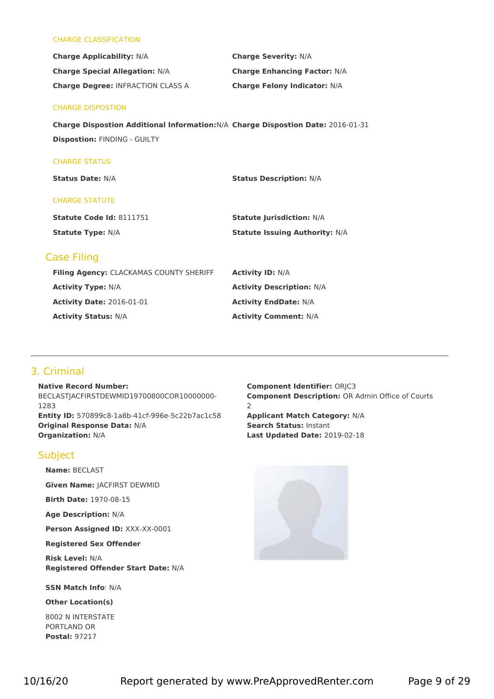#### CHARGE CLASSIFICATION

| <b>Charge Applicability: N/A</b>         | <b>Charge Severity: N/A</b>         |
|------------------------------------------|-------------------------------------|
| <b>Charge Special Allegation: N/A</b>    | <b>Charge Enhancing Factor: N/A</b> |
| <b>Charge Degree: INFRACTION CLASS A</b> | <b>Charge Felony Indicator: N/A</b> |

#### CHARGE DISPOSTION

**Charge Dispostion Additional Information:**N/A **Charge Dispostion Date:** 2016-01-31 **Dispostion:** FINDING - GUILTY

#### CHARGE STATUS

**Status Date:** N/A **Status Description:** N/A

#### CHARGE STATUTE

| <b>Statute Code Id: 8111751</b> | <b>Statute Jurisdiction: N/A</b>      |
|---------------------------------|---------------------------------------|
| <b>Statute Type: N/A</b>        | <b>Statute Issuing Authority: N/A</b> |

## Case Filing

| Filing Agency: CLACKAMAS COUNTY SHERIFF | <b>Activity ID: N/A</b>          |
|-----------------------------------------|----------------------------------|
| <b>Activity Type: N/A</b>               | <b>Activity Description: N/A</b> |
| <b>Activity Date: 2016-01-01</b>        | <b>Activity EndDate: N/A</b>     |
| <b>Activity Status: N/A</b>             | <b>Activity Comment: N/A</b>     |

## 3. Criminal

**Native Record Number:** BECLASTIACFIRSTDEWMID19700800COR10000000-1283 **Entity ID:** 570899c8-1a8b-41cf-996e-5c22b7ac1c58 **Applicant Match Category:** N/A **Original Response Data:** N/A **Search Status:** Instant **Organization:** N/A **Last Updated Date:** 2019-02-18

#### **Subject**

**Name:** BECLAST

**Given Name:** JACFIRST DEWMID

**Birth Date:** 1970-08-15

**Age Description:** N/A

**Person Assigned ID:** XXX-XX-0001

**Registered Sex Offender**

**Risk Level:** N/A **Registered Offender Start Date:** N/A

**SSN Match Info**: N/A

**Other Location(s)**

8002 N INTERSTATE PORTLAND OR **Postal:** 97217

**Component Identifier:** ORJC3 **Component Description: OR Admin Office of Courts** 2

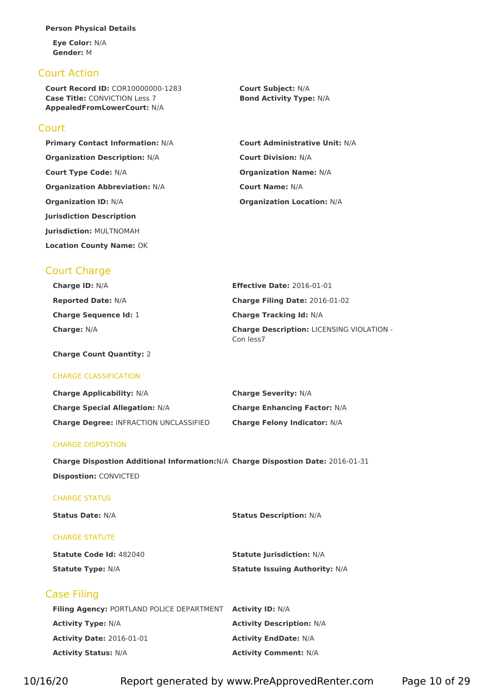#### **Person Physical Details**

**Eye Color:** N/A **Gender:** M

## Court Action

**Court Record ID:** COR10000000-1283 **Court Subject:** N/A **Case Title:** CONVICTION Less 7 **Bond Activity Type:** N/A **AppealedFromLowerCourt:** N/A

## **Court**

**Primary Contact Information:** N/A **Organization Description:** N/A **Court Type Code: N/A Organization Abbreviation: N/A Organization ID:** N/A **Organization Location:** N/A **Jurisdiction Description Jurisdiction:** MULTNOMAH **Location County Name:** OK

| <b>Court Administrative Unit: N/A</b>                                                                                                                                                                                                                                                                                                                                            |  |
|----------------------------------------------------------------------------------------------------------------------------------------------------------------------------------------------------------------------------------------------------------------------------------------------------------------------------------------------------------------------------------|--|
| <b>Court Division: N/A</b>                                                                                                                                                                                                                                                                                                                                                       |  |
| <b>Organization Name: N/A</b>                                                                                                                                                                                                                                                                                                                                                    |  |
| <b>Court Name: N/A</b>                                                                                                                                                                                                                                                                                                                                                           |  |
| $\bigcap$ $\ldots$ $\bigcup$ $\bigcup$ $\bigcup$ $\bigcup$ $\bigcup$ $\bigcup$ $\bigcup$ $\bigcup$ $\bigcup$ $\bigcup$ $\bigcup$ $\bigcup$ $\bigcup$ $\bigcup$ $\bigcup$ $\bigcup$ $\bigcup$ $\bigcup$ $\bigcup$ $\bigcup$ $\bigcup$ $\bigcup$ $\bigcup$ $\bigcup$ $\bigcup$ $\bigcup$ $\bigcup$ $\bigcup$ $\bigcup$ $\bigcup$ $\bigcup$ $\bigcup$ $\bigcup$ $\bigcup$ $\bigcup$ |  |

# Court Charge

| <b>Charge ID: N/A</b>        | <b>Effective Date: 2016-01-01</b>                             |
|------------------------------|---------------------------------------------------------------|
| <b>Reported Date: N/A</b>    | <b>Charge Filing Date: 2016-01-02</b>                         |
| <b>Charge Sequence Id: 1</b> | <b>Charge Tracking Id: N/A</b>                                |
| <b>Charge: N/A</b>           | <b>Charge Description: LICENSING VIOLATION -</b><br>Con less7 |

**Charge Count Quantity:** 2

#### CHARGE CLASSIFICATION

| <b>Charge Applicability: N/A</b>              | <b>Charge Severity: N/A</b>         |
|-----------------------------------------------|-------------------------------------|
| <b>Charge Special Allegation: N/A</b>         | <b>Charge Enhancing Factor: N/A</b> |
| <b>Charge Degree: INFRACTION UNCLASSIFIED</b> | <b>Charge Felony Indicator: N/A</b> |

#### CHARGE DISPOSTION

| Charge Dispostion Additional Information: N/A Charge Dispostion Date: 2016-01-31 |  |
|----------------------------------------------------------------------------------|--|
| <b>Dispostion: CONVICTED</b>                                                     |  |

#### CHARGE STATUS

| <b>Status Date: N/A</b>        | <b>Status Description: N/A</b>        |
|--------------------------------|---------------------------------------|
| <b>CHARGE STATUTE</b>          |                                       |
| <b>Statute Code Id: 482040</b> | <b>Statute Jurisdiction: N/A</b>      |
| <b>Statute Type: N/A</b>       | <b>Statute Issuing Authority: N/A</b> |

# Case Filing

| <b>Filing Agency: PORTLAND POLICE DEPARTMENT Activity ID: N/A</b> |                                  |
|-------------------------------------------------------------------|----------------------------------|
| <b>Activity Type:</b> N/A                                         | <b>Activity Description: N/A</b> |
| <b>Activity Date: 2016-01-01</b>                                  | <b>Activity EndDate: N/A</b>     |
| <b>Activity Status: N/A</b>                                       | <b>Activity Comment: N/A</b>     |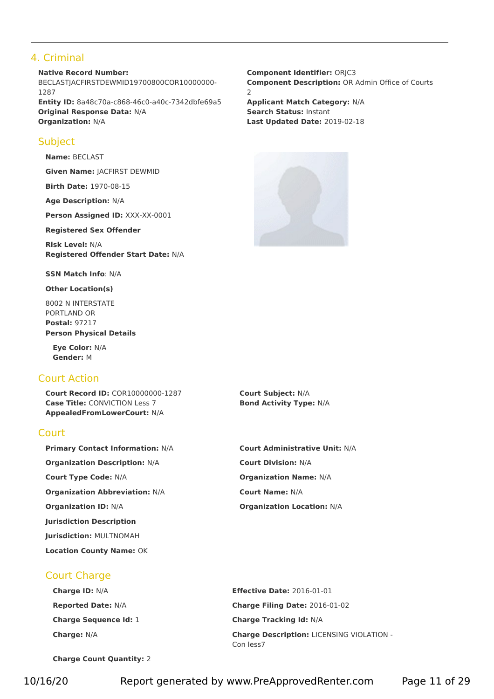# 4. Criminal

**Native Record Number:** BECLASTJACFIRSTDEWMID19700800COR10000000-1287 **Entity ID:** 8a48c70a-c868-46c0-a40c-7342dbfe69a5 **Applicant Match Category:** N/A **Original Response Data:** N/A **Search Status:** Instant **Organization:** N/A **Last Updated Date:** 2019-02-18

## **Subject**

**Name:** BECLAST

**Given Name:** JACFIRST DEWMID

**Birth Date:** 1970-08-15

**Age Description:** N/A

**Person Assigned ID:** XXX-XX-0001

**Registered Sex Offender**

**Risk Level:** N/A **Registered Offender Start Date:** N/A

**SSN Match Info**: N/A

**Other Location(s)**

8002 N INTERSTATE PORTLAND OR **Postal:** 97217 **Person Physical Details**

**Eye Color:** N/A **Gender:** M

# Court Action

**Court Record ID:** COR10000000-1287 **Court Subject:** N/A **Case Title:** CONVICTION Less 7 **Bond Activity Type:** N/A **AppealedFromLowerCourt:** N/A

## Court

**Primary Contact Information:** N/A **Court Administrative Unit:** N/A **Organization Description:** N/A **Court Division:** N/A **Court Type Code:** N/A **Organization Name:** N/A **Organization Abbreviation:** N/A **Court Name:** N/A **Organization ID:** N/A **Organization Location:** N/A **Jurisdiction Description Jurisdiction:** MULTNOMAH **Location County Name:** OK

Court Charge

**Component Identifier:** ORJC3 **Component Description: OR Admin Office of Courts** 2



**Charge ID:** N/A **Effective Date:** 2016-01-01 **Reported Date:** N/A **Charge Filing Date:** 2016-01-02 **Charge Sequence Id:** 1 **Charge Tracking Id:** N/A **Charge:** N/A **Charge Description:** LICENSING VIOLATION - Con less7

**Charge Count Quantity:** 2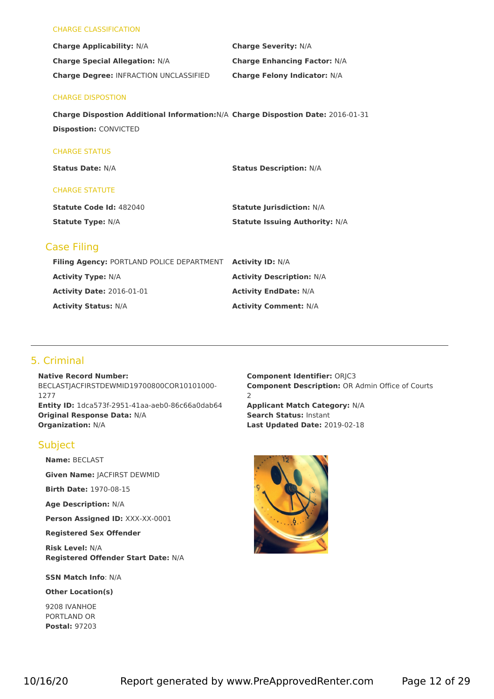#### CHARGE CLASSIFICATION

| <b>Charge Applicability: N/A</b>              | <b>Charge Severity: N/A</b>         |
|-----------------------------------------------|-------------------------------------|
| <b>Charge Special Allegation: N/A</b>         | <b>Charge Enhancing Factor: N/A</b> |
| <b>Charge Degree: INFRACTION UNCLASSIFIED</b> | <b>Charge Felony Indicator: N/A</b> |

#### CHARGE DISPOSTION

**Charge Dispostion Additional Information:**N/A **Charge Dispostion Date:** 2016-01-31 **Dispostion:** CONVICTED

#### CHARGE STATUS

**Status Date:** N/A **Status Description:** N/A

#### CHARGE STATUTE

| <b>Statute Code Id: 482040</b> | <b>Statute Jurisdiction: N/A</b>      |
|--------------------------------|---------------------------------------|
| <b>Statute Type: N/A</b>       | <b>Statute Issuing Authority: N/A</b> |

## Case Filing

| Filing Agency: PORTLAND POLICE DEPARTMENT Activity ID: N/A |                                  |
|------------------------------------------------------------|----------------------------------|
| <b>Activity Type: N/A</b>                                  | <b>Activity Description: N/A</b> |
| <b>Activity Date: 2016-01-01</b>                           | <b>Activity EndDate: N/A</b>     |
| <b>Activity Status: N/A</b>                                | <b>Activity Comment: N/A</b>     |

# 5. Criminal

**Native Record Number:** BECLASTJACFIRSTDEWMID19700800COR10101000- 1277 **Entity ID:** 1dca573f-2951-41aa-aeb0-86c66a0dab64 **Applicant Match Category:** N/A **Original Response Data:** N/A **Search Status:** Instant **Organization:** N/A **Last Updated Date:** 2019-02-18

## **Subject**

**Name:** BECLAST

**Given Name:** JACFIRST DEWMID

**Birth Date:** 1970-08-15

**Age Description:** N/A

**Person Assigned ID:** XXX-XX-0001

**Registered Sex Offender**

**Risk Level:** N/A **Registered Offender Start Date:** N/A

**SSN Match Info**: N/A

**Other Location(s)**

9208 IVANHOE PORTLAND OR **Postal:** 97203 **Component Identifier:** ORJC3 **Component Description:** OR Admin Office of Courts 2

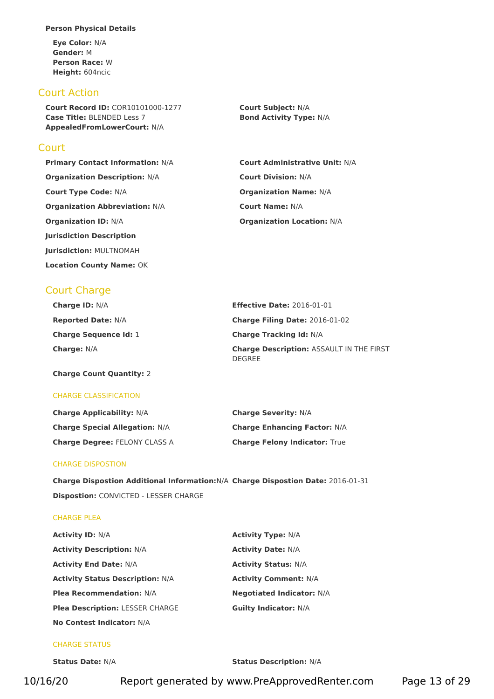#### **Person Physical Details**

**Eye Color:** N/A **Gender:** M **Person Race:** W **Height:** 604ncic

## Court Action

**Court Record ID:** COR10101000-1277 **Court Subject:** N/A **Case Title:** BLENDED Less 7 **Bond Activity Type:** N/A **AppealedFromLowerCourt:** N/A

### **Court**

**Organization Description:** N/A **Court Division:** N/A **Court Type Code:** N/A **Organization Name:** N/A **Organization Abbreviation:** N/A **Court Name:** N/A **Organization ID:** N/A **Organization Location:** N/A **Jurisdiction Description Jurisdiction:** MULTNOMAH **Location County Name:** OK

**Primary Contact Information:** N/A **Court Administrative Unit:** N/A

# Court Charge

| <b>Charge ID: N/A</b>        | <b>Effective Date: 2016-01-01</b>                                |
|------------------------------|------------------------------------------------------------------|
| <b>Reported Date: N/A</b>    | <b>Charge Filing Date: 2016-01-02</b>                            |
| <b>Charge Sequence Id: 1</b> | <b>Charge Tracking Id: N/A</b>                                   |
| <b>Charge:</b> $N/A$         | <b>Charge Description: ASSAULT IN THE FIRST</b><br><b>DEGREE</b> |

**Charge Count Quantity:** 2

#### CHARGE CLASSIFICATION

| <b>Charge Applicability: N/A</b>      | <b>Charge Severity: N/A</b>          |
|---------------------------------------|--------------------------------------|
| <b>Charge Special Allegation: N/A</b> | <b>Charge Enhancing Factor: N/A</b>  |
| <b>Charge Degree: FELONY CLASS A</b>  | <b>Charge Felony Indicator: True</b> |

#### CHARGE DISPOSTION

**Charge Dispostion Additional Information:**N/A **Charge Dispostion Date:** 2016-01-31 **Dispostion:** CONVICTED - LESSER CHARGE

#### CHARGE PLEA

| <b>Activity ID: N/A</b>                 | <b>Activity Type: N/A</b>        |  |
|-----------------------------------------|----------------------------------|--|
| <b>Activity Description: N/A</b>        | <b>Activity Date: N/A</b>        |  |
| <b>Activity End Date: N/A</b>           | <b>Activity Status: N/A</b>      |  |
| <b>Activity Status Description: N/A</b> | <b>Activity Comment: N/A</b>     |  |
| <b>Plea Recommendation: N/A</b>         | <b>Negotiated Indicator: N/A</b> |  |
| <b>Plea Description: LESSER CHARGE</b>  | <b>Guilty Indicator: N/A</b>     |  |
| No Contest Indicator: N/A               |                                  |  |

#### CHARGE STATUS

**Status Date:** N/A **Status Description:** N/A

10/16/20 Report generated by www.PreApprovedRenter.com Page 13 of 29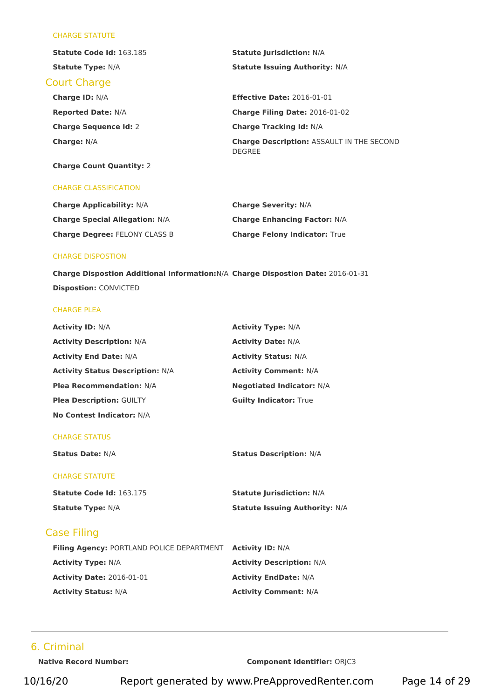#### CHARGE STATUTE

| <b>Statute Code Id: 163.185</b> | <b>Statute Jurisdiction: N/A</b>                                  |
|---------------------------------|-------------------------------------------------------------------|
| <b>Statute Type: N/A</b>        | <b>Statute Issuing Authority: N/A</b>                             |
| <b>Court Charge</b>             |                                                                   |
| <b>Charge ID: N/A</b>           | <b>Effective Date: 2016-01-01</b>                                 |
| <b>Reported Date: N/A</b>       | Charge Filing Date: 2016-01-02                                    |
| <b>Charge Sequence Id: 2</b>    | <b>Charge Tracking Id: N/A</b>                                    |
| <b>Charge: N/A</b>              | <b>Charge Description: ASSAULT IN THE SECOND</b><br><b>DEGREE</b> |

# **Charge Count Quantity:** 2

#### CHARGE CLASSIFICATION

| <b>Charge Applicability: N/A</b>      | <b>Charge Severity: N/A</b>          |
|---------------------------------------|--------------------------------------|
| <b>Charge Special Allegation: N/A</b> | <b>Charge Enhancing Factor: N/A</b>  |
| <b>Charge Degree: FELONY CLASS B</b>  | <b>Charge Felony Indicator: True</b> |

#### CHARGE DISPOSTION

**Charge Dispostion Additional Information:**N/A **Charge Dispostion Date:** 2016-01-31 **Dispostion:** CONVICTED

#### CHARGE PLEA

| <b>Activity ID: N/A</b>                 | <b>Activity Type: N/A</b>        |
|-----------------------------------------|----------------------------------|
| <b>Activity Description: N/A</b>        | <b>Activity Date: N/A</b>        |
| <b>Activity End Date: N/A</b>           | <b>Activity Status: N/A</b>      |
| <b>Activity Status Description: N/A</b> | <b>Activity Comment: N/A</b>     |
| <b>Plea Recommendation: N/A</b>         | <b>Negotiated Indicator: N/A</b> |
| <b>Plea Description: GUILTY</b>         | <b>Guilty Indicator: True</b>    |
| No Contest Indicator: N/A               |                                  |

#### CHARGE STATUS

**Status Date:** N/A **Status Description:** N/A

#### CHARGE STATUTE

| <b>Statute Code Id: 163.175</b> | <b>Statute Jurisdiction: N/A</b>      |
|---------------------------------|---------------------------------------|
| <b>Statute Type: N/A</b>        | <b>Statute Issuing Authority: N/A</b> |

# Case Filing

| <b>Filing Agency: PORTLAND POLICE DEPARTMENT Activity ID: N/A</b> |                                  |
|-------------------------------------------------------------------|----------------------------------|
| <b>Activity Type:</b> N/A                                         | <b>Activity Description: N/A</b> |
| <b>Activity Date: 2016-01-01</b>                                  | <b>Activity EndDate: N/A</b>     |
| <b>Activity Status: N/A</b>                                       | <b>Activity Comment: N/A</b>     |

## 6. Criminal

**Native Record Number: Component Identifier:** ORJC3

10/16/20 Report generated by www.PreApprovedRenter.com Page 14 of 29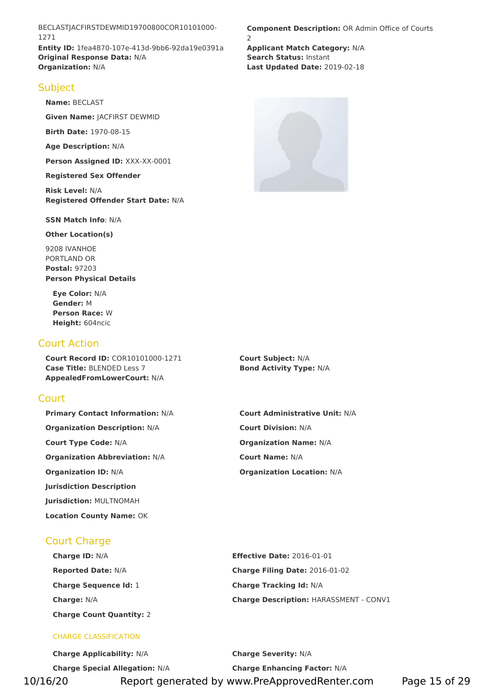BECLASTJACFIRSTDEWMID19700800COR10101000- 1271 **Entity ID:** 1fea4870-107e-413d-9bb6-92da19e0391a **Applicant Match Category:** N/A **Original Response Data:** N/A **Search Status:** Instant **Organization:** N/A **Last Updated Date:** 2019-02-18

## **Subject**

**Name:** BECLAST

**Given Name:** JACFIRST DEWMID

**Birth Date:** 1970-08-15

**Age Description:** N/A

**Person Assigned ID:** XXX-XX-0001

**Registered Sex Offender**

**Risk Level:** N/A **Registered Offender Start Date:** N/A

**SSN Match Info**: N/A

**Other Location(s)**

9208 IVANHOE PORTLAND OR **Postal:** 97203 **Person Physical Details**

**Eye Color:** N/A **Gender:** M **Person Race:** W **Height:** 604ncic

# Court Action

**Court Record ID:** COR10101000-1271 **Court Subject:** N/A **Case Title:** BLENDED Less 7 **Bond Activity Type:** N/A **AppealedFromLowerCourt:** N/A

# **Court**

**Primary Contact Information:** N/A **Court Administrative Unit:** N/A **Organization Description:** N/A **Court Division:** N/A **Court Type Code:** N/A **Organization Name:** N/A **Organization Abbreviation:** N/A **Court Name:** N/A **Organization ID:** N/A **Organization Location:** N/A **Jurisdiction Description Jurisdiction:** MULTNOMAH **Location County Name:** OK

Court Charge

**Charge ID:** N/A **Effective Date:** 2016-01-01 **Reported Date:** N/A **Charge Filing Date:** 2016-01-02 **Charge Sequence Id:** 1 **Charge Tracking Id:** N/A **Charge Count Quantity:** 2

#### CHARGE CLASSIFICATION

**Component Description: OR Admin Office of Courts** 2



**Charge:** N/A **Charge Description:** HARASSMENT - CONV1

**Charge Applicability:** N/A **Charge Severity:** N/A **Charge Special Allegation:** N/A **Charge Enhancing Factor:** N/A 10/16/20 Report generated by www.PreApprovedRenter.com Page 15 of 29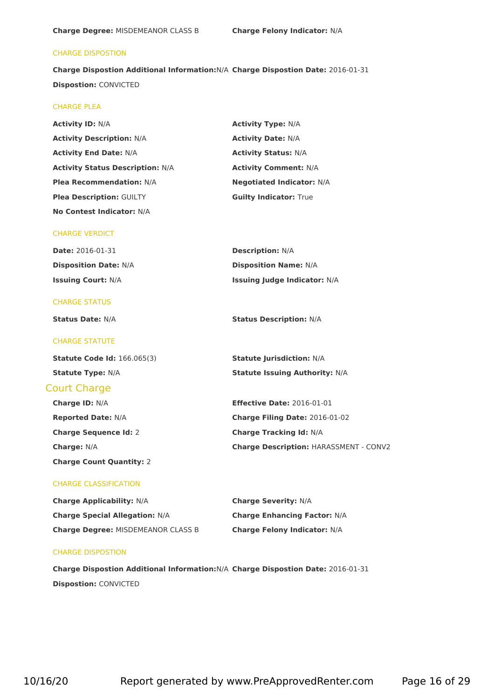#### CHARGE DISPOSTION

**Charge Dispostion Additional Information:**N/A **Charge Dispostion Date:** 2016-01-31 **Dispostion:** CONVICTED

#### CHARGE PLEA

| <b>Activity ID: N/A</b>                 | <b>Activity Type: N/A</b>        |
|-----------------------------------------|----------------------------------|
| <b>Activity Description: N/A</b>        | <b>Activity Date: N/A</b>        |
| <b>Activity End Date: N/A</b>           | <b>Activity Status: N/A</b>      |
| <b>Activity Status Description: N/A</b> | <b>Activity Comment: N/A</b>     |
| <b>Plea Recommendation: N/A</b>         | <b>Negotiated Indicator: N/A</b> |
| <b>Plea Description: GUILTY</b>         | <b>Guilty Indicator: True</b>    |
| <b>No Contest Indicator: N/A</b>        |                                  |

#### CHARGE VERDICT

| <b>Date: 2016-01-31</b>      | <b>Description: N/A</b>             |
|------------------------------|-------------------------------------|
| <b>Disposition Date: N/A</b> | <b>Disposition Name: N/A</b>        |
| <b>Issuing Court: N/A</b>    | <b>Issuing Judge Indicator: N/A</b> |

#### CHARGE STATUS

**Status Date:** N/A **Status Description:** N/A

#### CHARGE STATUTE

**Statute Code Id:** 166.065(3) **Statute Jurisdiction:** N/A **Statute Type:** N/A **Statute Issuing Authority:** N/A

#### Court Charge

| <b>Charge ID: N/A</b>           | <b>Effective Date: 2016-01-01</b>             |
|---------------------------------|-----------------------------------------------|
| <b>Reported Date: N/A</b>       | Charge Filing Date: 2016-01-02                |
| <b>Charge Sequence Id: 2</b>    | <b>Charge Tracking Id: N/A</b>                |
| <b>Charge: N/A</b>              | <b>Charge Description: HARASSMENT - CONV2</b> |
| <b>Charge Count Quantity: 2</b> |                                               |

#### CHARGE CLASSIFICATION

| <b>Charge Applicability: N/A</b>          | <b>Charge Severity: N/A</b>         |
|-------------------------------------------|-------------------------------------|
| <b>Charge Special Allegation: N/A</b>     | <b>Charge Enhancing Factor: N/A</b> |
| <b>Charge Degree: MISDEMEANOR CLASS B</b> | <b>Charge Felony Indicator: N/A</b> |

#### CHARGE DISPOSTION

**Charge Dispostion Additional Information:**N/A **Charge Dispostion Date:** 2016-01-31 **Dispostion:** CONVICTED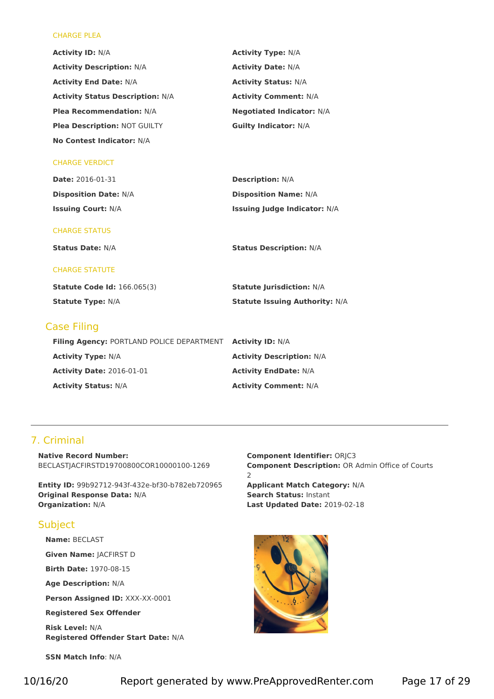#### CHARGE PLEA

| <b>Activity ID: N/A</b>                   | <b>Activity Type: N/A</b>             |
|-------------------------------------------|---------------------------------------|
| <b>Activity Description: N/A</b>          | <b>Activity Date: N/A</b>             |
| <b>Activity End Date: N/A</b>             | <b>Activity Status: N/A</b>           |
| <b>Activity Status Description: N/A</b>   | <b>Activity Comment: N/A</b>          |
| <b>Plea Recommendation: N/A</b>           | <b>Negotiated Indicator: N/A</b>      |
| Plea Description: NOT GUILTY              | <b>Guilty Indicator: N/A</b>          |
| No Contest Indicator: N/A                 |                                       |
| <b>CHARGE VERDICT</b>                     |                                       |
| <b>Date: 2016-01-31</b>                   | <b>Description: N/A</b>               |
| <b>Disposition Date: N/A</b>              | <b>Disposition Name: N/A</b>          |
| <b>Issuing Court: N/A</b>                 | <b>Issuing Judge Indicator: N/A</b>   |
| <b>CHARGE STATUS</b>                      |                                       |
| <b>Status Date: N/A</b>                   | <b>Status Description: N/A</b>        |
| <b>CHARGE STATUTE</b>                     |                                       |
| <b>Statute Code Id: 166.065(3)</b>        | <b>Statute Jurisdiction: N/A</b>      |
| <b>Statute Type: N/A</b>                  | <b>Statute Issuing Authority: N/A</b> |
| <b>Case Filing</b>                        |                                       |
| Filing Agency: PORTLAND POLICE DEPARTMENT | <b>Activity ID: N/A</b>               |
| <b>Activity Type: N/A</b>                 | <b>Activity Description: N/A</b>      |
| <b>Activity Date: 2016-01-01</b>          | <b>Activity EndDate: N/A</b>          |
| <b>Activity Status: N/A</b>               | <b>Activity Comment: N/A</b>          |

# 7. Criminal

**Native Record Number:** BECLASTJACFIRSTD19700800COR10000100-1269

**Entity ID:** 99b92712-943f-432e-bf30-b782eb720965 **Applicant Match Category:** N/A **Original Response Data:** N/A **Search Status:** Instant **Organization:** N/A **Last Updated Date:** 2019-02-18

## Subject

**Name:** BECLAST

**Given Name:** JACFIRST D

**Birth Date:** 1970-08-15

**Age Description:** N/A

**Person Assigned ID:** XXX-XX-0001

**Registered Sex Offender**

**Risk Level:** N/A **Registered Offender Start Date:** N/A

**SSN Match Info**: N/A

**Component Identifier:** ORJC3 **Component Description: OR Admin Office of Courts** 2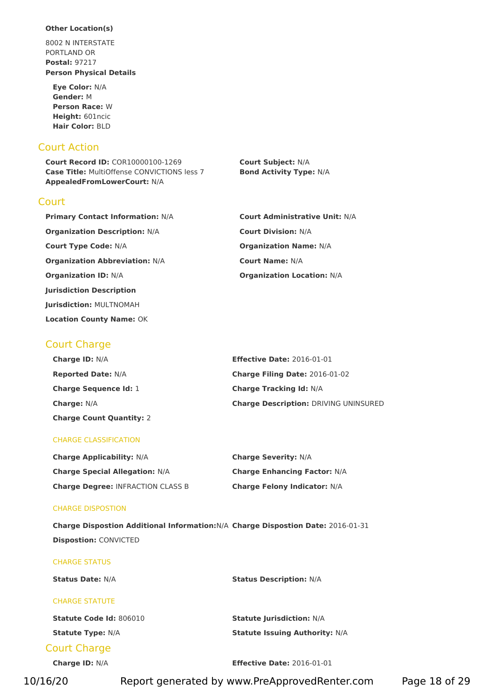#### **Other Location(s)**

8002 N INTERSTATE PORTLAND OR **Postal:** 97217 **Person Physical Details**

**Eye Color:** N/A **Gender:** M **Person Race:** W **Height:** 601ncic **Hair Color:** BLD

## Court Action

**Court** 

**Court Record ID:** COR10000100-1269 **Court Subject:** N/A **Case Title:** MultiOffense CONVICTIONS less 7 **Bond Activity Type:** N/A **AppealedFromLowerCourt:** N/A

| <b>Primary Contact Information: N/A</b> | <b>Court Administrative Unit: N/A</b> |
|-----------------------------------------|---------------------------------------|
| <b>Organization Description: N/A</b>    | <b>Court Division: N/A</b>            |
| <b>Court Type Code: N/A</b>             | <b>Organization Name: N/A</b>         |
| <b>Organization Abbreviation: N/A</b>   | <b>Court Name: N/A</b>                |
| <b>Organization ID: N/A</b>             | <b>Organization Location: N/A</b>     |
| <b>Jurisdiction Description</b>         |                                       |
|                                         |                                       |

# Court Charge

**Jurisdiction:** MULTNOMAH **Location County Name:** OK

| <b>Charge ID: N/A</b>           | <b>Effective Date: 2016-01-01</b>            |
|---------------------------------|----------------------------------------------|
| <b>Reported Date: N/A</b>       | Charge Filing Date: 2016-01-02               |
| <b>Charge Sequence Id: 1</b>    | <b>Charge Tracking Id: N/A</b>               |
| <b>Charge:</b> $N/A$            | <b>Charge Description: DRIVING UNINSURED</b> |
| <b>Charge Count Quantity: 2</b> |                                              |

#### CHARGE CLASSIFICATION

| <b>Charge Applicability: N/A</b>         | <b>Charge Severity: N/A</b>         |
|------------------------------------------|-------------------------------------|
| <b>Charge Special Allegation: N/A</b>    | <b>Charge Enhancing Factor: N/A</b> |
| <b>Charge Degree: INFRACTION CLASS B</b> | <b>Charge Felony Indicator: N/A</b> |

#### CHARGE DISPOSTION

**Charge Dispostion Additional Information:**N/A **Charge Dispostion Date:** 2016-01-31 **Dispostion:** CONVICTED

| <b>CHARGE STATUS</b>     |                                       |  |
|--------------------------|---------------------------------------|--|
| <b>Status Date: N/A</b>  | <b>Status Description: N/A</b>        |  |
| <b>CHARGE STATUTE</b>    |                                       |  |
| Statute Code Id: 806010  | <b>Statute Jurisdiction: N/A</b>      |  |
| <b>Statute Type: N/A</b> | <b>Statute Issuing Authority: N/A</b> |  |
| <b>Court Charge</b>      |                                       |  |

**Charge ID:** N/A **Effective Date:** 2016-01-01

10/16/20 Report generated by www.PreApprovedRenter.com Page 18 of 29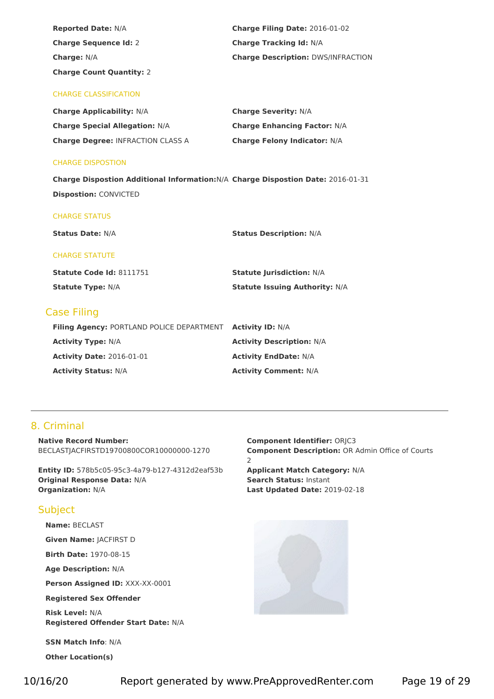| <b>Reported Date: N/A</b>                                                        | Charge Filing Date: 2016-01-02            |
|----------------------------------------------------------------------------------|-------------------------------------------|
| <b>Charge Sequence Id: 2</b>                                                     | <b>Charge Tracking Id: N/A</b>            |
| Charge: N/A                                                                      | <b>Charge Description: DWS/INFRACTION</b> |
| <b>Charge Count Quantity: 2</b>                                                  |                                           |
| <b>CHARGE CLASSIFICATION</b>                                                     |                                           |
| <b>Charge Applicability: N/A</b>                                                 | <b>Charge Severity: N/A</b>               |
| <b>Charge Special Allegation: N/A</b>                                            | <b>Charge Enhancing Factor: N/A</b>       |
| <b>Charge Degree: INFRACTION CLASS A</b>                                         | <b>Charge Felony Indicator: N/A</b>       |
|                                                                                  |                                           |
| <b>CHARGE DISPOSTION</b>                                                         |                                           |
| Charge Dispostion Additional Information: N/A Charge Dispostion Date: 2016-01-31 |                                           |
| <b>Dispostion: CONVICTED</b>                                                     |                                           |
|                                                                                  |                                           |
| <b>CHARGE STATUS</b>                                                             |                                           |
| <b>Status Date: N/A</b>                                                          | <b>Status Description: N/A</b>            |
| <b>CHARGE STATUTE</b>                                                            |                                           |
| Statute Code Id: 8111751                                                         | <b>Statute Jurisdiction: N/A</b>          |
| <b>Statute Type: N/A</b>                                                         | <b>Statute Issuing Authority: N/A</b>     |
|                                                                                  |                                           |
| <b>Case Filing</b>                                                               |                                           |
| Filing Agency: PORTLAND POLICE DEPARTMENT Activity ID: N/A                       |                                           |
| <b>Activity Type: N/A</b>                                                        | <b>Activity Description: N/A</b>          |
| <b>Activity Date: 2016-01-01</b>                                                 | <b>Activity EndDate: N/A</b>              |
| <b>Activity Status: N/A</b>                                                      | <b>Activity Comment: N/A</b>              |

# 8. Criminal

**Native Record Number:** BECLASTJACFIRSTD19700800COR10000000-1270

**Entity ID:** 578b5c05-95c3-4a79-b127-4312d2eaf53b **Applicant Match Category:** N/A **Original Response Data:** N/A **Search Status:** Instant **Organization:** N/A **Last Updated Date:** 2019-02-18

## Subject

**Name:** BECLAST

**Given Name:** JACFIRST D

**Birth Date:** 1970-08-15

**Age Description:** N/A

**Person Assigned ID:** XXX-XX-0001

**Registered Sex Offender**

**Risk Level:** N/A **Registered Offender Start Date:** N/A

**SSN Match Info**: N/A

**Other Location(s)**

**Component Identifier:** ORJC3 **Component Description: OR Admin Office of Courts** 2

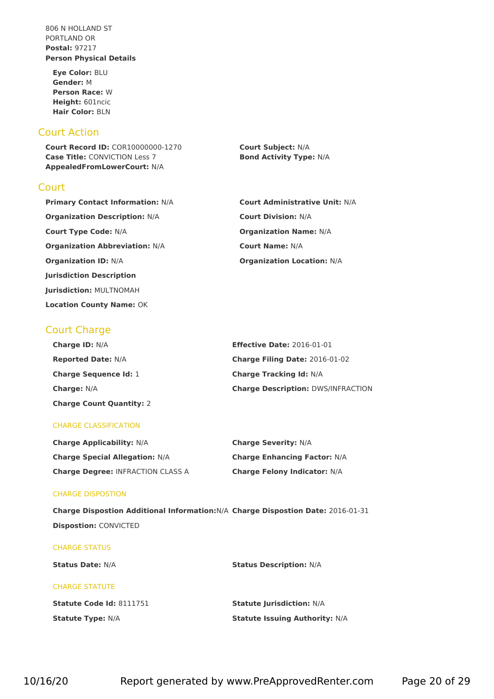806 N HOLLAND ST PORTLAND OR **Postal:** 97217 **Person Physical Details**

**Eye Color:** BLU **Gender:** M **Person Race:** W **Height:** 601ncic **Hair Color:** BLN

## Court Action

**Court Record ID:** COR10000000-1270 **Court Subject:** N/A **Case Title:** CONVICTION Less 7 **Bond Activity Type:** N/A **AppealedFromLowerCourt:** N/A

## **Court**

**Primary Contact Information:** N/A **Court Administrative Unit:** N/A **Organization Description:** N/A **Court Division:** N/A **Court Type Code:** N/A **Organization Name:** N/A **Organization Abbreviation:** N/A **Court Name:** N/A **Organization ID:** N/A **Organization Location:** N/A **Jurisdiction Description Jurisdiction:** MULTNOMAH **Location County Name:** OK

# Court Charge

| <b>Charge ID: N/A</b>           | <b>Effective Date: 2016-01-01</b>         |
|---------------------------------|-------------------------------------------|
| <b>Reported Date: N/A</b>       | <b>Charge Filing Date: 2016-01-02</b>     |
| <b>Charge Sequence Id: 1</b>    | <b>Charge Tracking Id: N/A</b>            |
| <b>Charge: N/A</b>              | <b>Charge Description: DWS/INFRACTION</b> |
| <b>Charge Count Quantity: 2</b> |                                           |

#### CHARGE CLASSIFICATION

| <b>Charge Applicability: N/A</b>         | <b>Charge Severity: N/A</b>         |
|------------------------------------------|-------------------------------------|
| <b>Charge Special Allegation: N/A</b>    | <b>Charge Enhancing Factor: N/A</b> |
| <b>Charge Degree: INFRACTION CLASS A</b> | <b>Charge Felony Indicator: N/A</b> |

#### CHARGE DISPOSTION

**Charge Dispostion Additional Information:**N/A **Charge Dispostion Date:** 2016-01-31 **Dispostion:** CONVICTED

#### CHARGE STATUS

**Status Date:** N/A **Status Description:** N/A

### CHARGE STATUTE

**Statute Code Id:** 8111751 **Statute Jurisdiction:** N/A **Statute Type:** N/A **Statute Issuing Authority:** N/A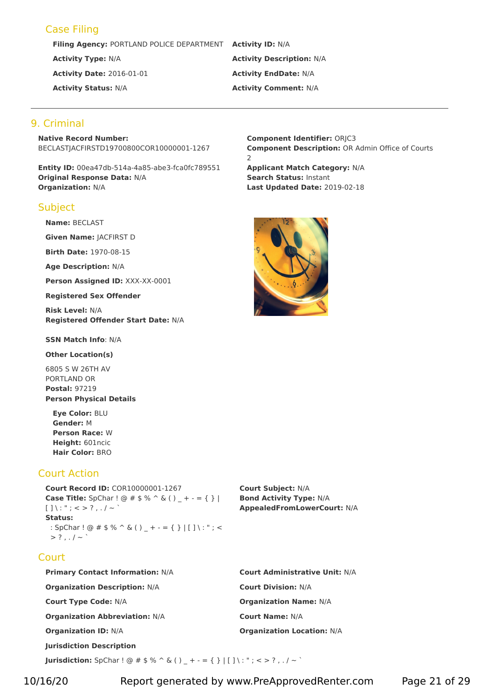# Case Filing

**Filing Agency:** PORTLAND POLICE DEPARTMENT **Activity ID:** N/A

# **Activity Type:** N/A **Activity Description:** N/A **Activity Date:** 2016-01-01 **Activity EndDate:** N/A **Activity Status:** N/A **Activity Comment:** N/A

# 9. Criminal

**Native Record Number:** BECLASTJACFIRSTD19700800COR10000001-1267

**Entity ID:** 00ea47db-514a-4a85-abe3-fca0fc789551 **Applicant Match Category:** N/A **Original Response Data:** N/A **Search Status:** Instant **Organization:** N/A **Last Updated Date:** 2019-02-18

## **Subject**

**Name:** BECLAST

**Given Name:** JACFIRST D

**Birth Date:** 1970-08-15

**Age Description:** N/A

**Person Assigned ID:** XXX-XX-0001

**Registered Sex Offender**

**Risk Level:** N/A **Registered Offender Start Date:** N/A

**SSN Match Info**: N/A

**Other Location(s)**

6805 S W 26TH AV PORTLAND OR **Postal:** 97219 **Person Physical Details**

**Eye Color:** BLU **Gender:** M **Person Race:** W **Height:** 601ncic **Hair Color:** BRO

# Court Action

**Court Record ID:** COR10000001-1267 **Court Subject:** N/A **Case Title:** SpChar ! @ # \$ % ^ & ( ) \_ + - = { } | [ ] \ :" ; <sup>&</sup>lt; <sup>&</sup>gt; ? , . / <sup>~</sup> ` **Bond Activity Type:** N/A **Status:** : SpChar ! @  $\#$  \$ % ^ & ( ) \_ + - = { } | [ ] \ : " ; <  $> ?$  , . / ~ `

**Court** 

**Primary Contact Information:** N/A **Court Administrative Unit:** N/A **Organization Description:** N/A **Court Division:** N/A **Court Type Code:** N/A **Organization Name:** N/A **Organization Abbreviation:** N/A **Court Name:** N/A **Organization ID:** N/A **Organization Location:** N/A **Jurisdiction Description**

**Jurisdiction:** SpChar ! @ # \$ % ^ & ( ) \_ + - = { } | [ ] \: "; < > ?,./ ~ `

**Component Identifier:** ORJC3 **Component Description: OR Admin Office of Courts** 2



**AppealedFromLowerCourt:** N/A

10/16/20 Report generated by www.PreApprovedRenter.com Page 21 of 29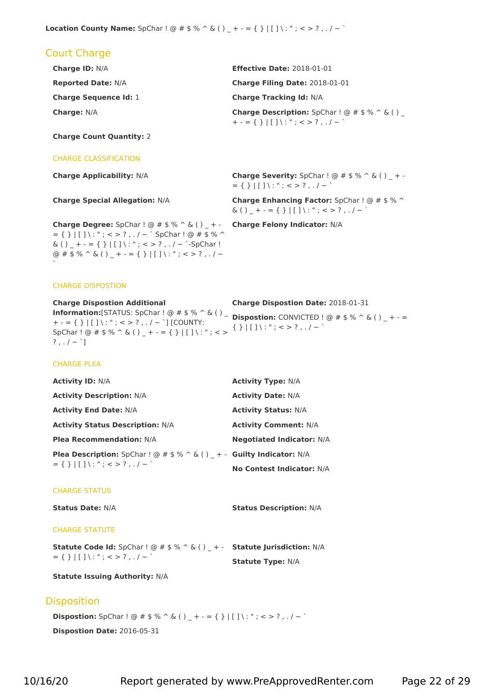# Court Charge

| <b>Charge ID: N/A</b>        | <b>Effective Date: 2018-01-01</b>                                   |
|------------------------------|---------------------------------------------------------------------|
| <b>Reported Date: N/A</b>    | Charge Filing Date: 2018-01-01                                      |
| <b>Charge Sequence Id: 1</b> | <b>Charge Tracking Id: N/A</b>                                      |
| <b>Charge: N/A</b>           | <b>Charge Description:</b> SpChar $\theta$ # \$ % $\hat{\theta}$ () |

**Charge Count Quantity:** 2

#### CHARGE CLASSIFICATION

 $= \{ \} | [ ] \setminus : "\ ; < > ? \ , \ . \ / \sim \; `$  SpChar ! @ # \$ % ^  $\& ( ) _ - + - = { }_{ }$   $\{} | [ ] \ \& ( ) _ - + - = { }_{ }$ @ # \$ % ^ & ( ) \_ + - = { } | [ ] \ : " ; < > ? , . / ~

**Charge Applicability:** N/A **Charge Severity:** SpChar ! @ # \$ % ^ & ( ) \_ + - $= \{ \} | [ ] \setminus : " ; < > ? , . / ~$ 

**Charge Special Allegation:** N/A **Charge Enhancing Factor:** SpChar ! @ # \$ % ^  $\& ( ) _ - + - = { }$  }  $| [ ] \ \& ( ) _ -$ 

**Charge Degree:** SpChar ! @ # \$ % ^ & ( ) \_ + - **Charge Felony Indicator:** N/A **Charge Degree:** SpChar! @ # \$ % ^ & ( ) \_ + - **Charge Felony Indicator:** N/A<br>
= { } |[ ]\: "; < > ? , . / ~ ` SpChar! @ # \$ % ^<br>
& ( ) \_ + - = { } |[ ]\: "; < > ? , . / ~ `-SpChar!<br>
@ # \$ % ^ & ( ) \_ + - = { } |[ ]\: ";

CHARGE DISPOSTION

| <b>Charge Dispostion Additional</b>                      | <b>Charge Dispostion Date: 2018-01-31</b>                           |
|----------------------------------------------------------|---------------------------------------------------------------------|
| <b>Information:</b> [STATUS: SpChar ! $@ # $ % ^C @$ ()  | $\overline{ }$ <b>Dispostion:</b> CONVICTED ! @ # \$ % ^ & () + - = |
| + - = { }   [ ] \ : " ; < > ? , . / ~ `] [COUNTY:        |                                                                     |
| $SpChar: @ # $% ^{6} @ ( ) + - = { }       ] \$ : "; < > | $\{\ \}$   [ ] \ : " ; < > ? , . / ~ `                              |
| $?$ , $/$ ~ `]                                           |                                                                     |

#### CHARGE PLEA

| <b>Activity ID: N/A</b>                                                                    | <b>Activity Type: N/A</b>        |
|--------------------------------------------------------------------------------------------|----------------------------------|
| <b>Activity Description: N/A</b>                                                           | <b>Activity Date: N/A</b>        |
| <b>Activity End Date: N/A</b>                                                              | <b>Activity Status: N/A</b>      |
| <b>Activity Status Description: N/A</b>                                                    | <b>Activity Comment: N/A</b>     |
| <b>Plea Recommendation: N/A</b>                                                            | <b>Negotiated Indicator: N/A</b> |
| <b>Plea Description:</b> SpChar ! @ # \$ % ^ & () + - Guilty Indicator: N/A                |                                  |
| $= \{ \}   \{ \}   \{ \}   \ldots   \, ; \, < \, > \, ? \, , \, . \, / \, \sim \, \rangle$ | No Contest Indicator: N/A        |

#### CHARGE STATUS

**Status Date:** N/A **Status Description:** N/A

#### CHARGE STATUTE

**Statute Code Id:** SpChar !@ # \$ % ^ & ( ) \_ + - <sup>=</sup> { } <sup>|</sup> [ ] \ : "; <sup>&</sup>lt; <sup>&</sup>gt; ? , . / <sup>~</sup> ` **Statute Jurisdiction:** N/A **Statute Type:** N/A

**Statute Issuing Authority:** N/A

#### **Disposition**

**Dispostion:** SpChar ! @  $\#$  \$ % ^ & ( ) \_ + - = { } | [ ] \: "; < > ?,./ ~ ` **Dispostion Date:** 2016-05-31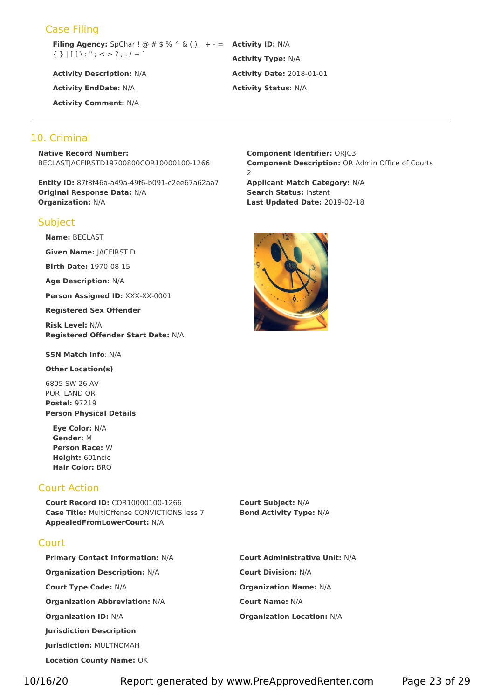# Case Filing

**Filing Agency:** SpChar ! @ # \$ % ^ & ( ) \_ + - = { } <sup>|</sup> [ ] \ :"; <sup>&</sup>lt; <sup>&</sup>gt; ? , . / <sup>~</sup> ` **Activity ID:** N/A

**Activity Comment:** N/A

# **Activity Type:** N/A **Activity Description:** N/A **Activity Date:** 2018-01-01 **Activity EndDate:** N/A **Activity Status:** N/A

## 10. Criminal

**Native Record Number:** BECLASTJACFIRSTD19700800COR10000100-1266

**Entity ID:** 87f8f46a-a49a-49f6-b091-c2ee67a62aa7 **Applicant Match Category:** N/A **Original Response Data:** N/A **Search Status:** Instant **Organization:** N/A **Last Updated Date:** 2019-02-18

#### **Subject**

**Name:** BECLAST

**Given Name:** JACFIRST D

**Birth Date:** 1970-08-15

**Age Description:** N/A

**Person Assigned ID:** XXX-XX-0001

**Registered Sex Offender**

**Risk Level:** N/A **Registered Offender Start Date:** N/A

**SSN Match Info**: N/A

**Other Location(s)**

6805 SW 26 AV PORTLAND OR **Postal:** 97219 **Person Physical Details**

**Eye Color:** N/A **Gender:** M **Person Race:** W **Height:** 601ncic **Hair Color:** BRO

# Court Action

**Court Record ID:** COR10000100-1266 **Court Subject:** N/A **Case Title:** MultiOffense CONVICTIONS less 7 **Bond Activity Type:** N/A **AppealedFromLowerCourt:** N/A

# **Court**

**Primary Contact Information:** N/A **Court Administrative Unit:** N/A **Organization Description:** N/A **Court Division:** N/A **Court Type Code:** N/A **Organization Name:** N/A **Organization Abbreviation:** N/A **Court Name:** N/A **Organization ID:** N/A **Organization Location:** N/A **Jurisdiction Description Jurisdiction:** MULTNOMAH **Location County Name:** OK

**Component Identifier:** ORJC3 **Component Description: OR Admin Office of Courts** 2

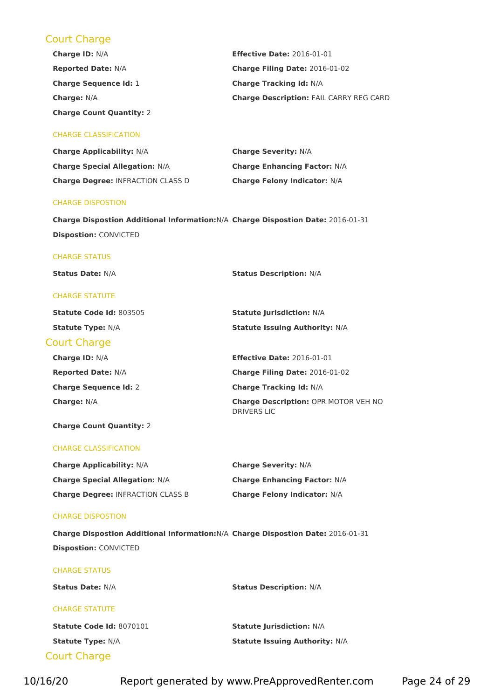# Court Charge

| <b>Charge ID: N/A</b>           | <b>Effective Date: 2016-01-01</b>              |
|---------------------------------|------------------------------------------------|
| <b>Reported Date: N/A</b>       | Charge Filing Date: 2016-01-02                 |
| <b>Charge Sequence Id: 1</b>    | <b>Charge Tracking Id: N/A</b>                 |
| <b>Charge: N/A</b>              | <b>Charge Description: FAIL CARRY REG CARD</b> |
| <b>Charge Count Quantity: 2</b> |                                                |

#### CHARGE CLASSIFICATION

| <b>Charge Applicability: N/A</b>         | <b>Charge Severity: N/A</b>         |
|------------------------------------------|-------------------------------------|
| <b>Charge Special Allegation: N/A</b>    | <b>Charge Enhancing Factor: N/A</b> |
| <b>Charge Degree: INFRACTION CLASS D</b> | <b>Charge Felony Indicator: N/A</b> |

#### CHARGE DISPOSTION

**Charge Dispostion Additional Information:**N/A **Charge Dispostion Date:** 2016-01-31 **Dispostion:** CONVICTED

#### CHARGE STATUS

**Status Date:** N/A **Status Description:** N/A

#### CHARGE STATUTE

| <b>Statute Code Id: 803505</b> | <b>Statute Jurisdiction: N/A</b>                                  |
|--------------------------------|-------------------------------------------------------------------|
| <b>Statute Type: N/A</b>       | <b>Statute Issuing Authority: N/A</b>                             |
| <b>Court Charge</b>            |                                                                   |
| <b>Charge ID: N/A</b>          | <b>Effective Date: 2016-01-01</b>                                 |
| <b>Reported Date: N/A</b>      | Charge Filing Date: 2016-01-02                                    |
| <b>Charge Sequence Id: 2</b>   | <b>Charge Tracking Id: N/A</b>                                    |
| <b>Charge: N/A</b>             | <b>Charge Description: OPR MOTOR VEH NO</b><br><b>DRIVERS LIC</b> |

#### **Charge Count Quantity:** 2

#### CHARGE CLASSIFICATION

| <b>Charge Applicability: N/A</b>         | <b>Charge Severity: N/A</b>         |
|------------------------------------------|-------------------------------------|
| <b>Charge Special Allegation: N/A</b>    | <b>Charge Enhancing Factor: N/A</b> |
| <b>Charge Degree: INFRACTION CLASS B</b> | <b>Charge Felony Indicator: N/A</b> |

#### CHARGE DISPOSTION

**Charge Dispostion Additional Information:**N/A **Charge Dispostion Date:** 2016-01-31 **Dispostion:** CONVICTED

# Court Charge CHARGE STATUS **Status Date:** N/A **Status Description:** N/A CHARGE STATUTE **Statute Code Id:** 8070101 **Statute Jurisdiction:** N/A **Statute Type:** N/A **Statute Issuing Authority:** N/A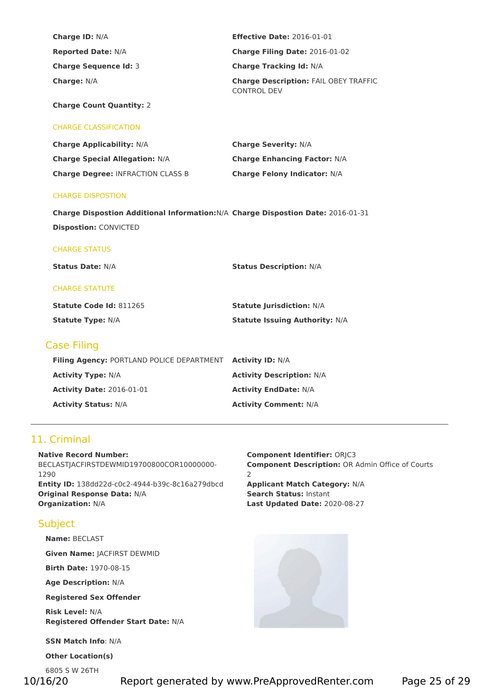| <b>Charge ID: N/A</b>        | <b>Effective Date: 2016-01-01</b>                                  |
|------------------------------|--------------------------------------------------------------------|
| <b>Reported Date: N/A</b>    | <b>Charge Filing Date: 2016-01-02</b>                              |
| <b>Charge Sequence Id: 3</b> | <b>Charge Tracking Id: N/A</b>                                     |
| <b>Charge: N/A</b>           | <b>Charge Description: FAIL OBEY TRAFFIC</b><br><b>CONTROL DEV</b> |

**Charge Count Quantity:** 2

#### CHARGE CLASSIFICATION

| <b>Charge Applicability: N/A</b>         | <b>Charge Severity: N/A</b>         |
|------------------------------------------|-------------------------------------|
| <b>Charge Special Allegation: N/A</b>    | <b>Charge Enhancing Factor: N/A</b> |
| <b>Charge Degree: INFRACTION CLASS B</b> | <b>Charge Felony Indicator: N/A</b> |

#### CHARGE DISPOSTION

**Charge Dispostion Additional Information:**N/A **Charge Dispostion Date:** 2016-01-31 **Dispostion:** CONVICTED

#### CHARGE STATUS

**Status Date:** N/A **Status Description:** N/A

#### CHARGE STATUTE

| <b>Statute Code Id: 811265</b> | <b>Statute Jurisdiction: N/A</b>      |
|--------------------------------|---------------------------------------|
| <b>Statute Type: N/A</b>       | <b>Statute Issuing Authority: N/A</b> |

## Case Filing

| Filing Agency: PORTLAND POLICE DEPARTMENT | <b>Activity ID: N/A</b>          |
|-------------------------------------------|----------------------------------|
| <b>Activity Type: N/A</b>                 | <b>Activity Description: N/A</b> |
| <b>Activity Date: 2016-01-01</b>          | <b>Activity EndDate: N/A</b>     |
| <b>Activity Status: N/A</b>               | <b>Activity Comment: N/A</b>     |

# 11. Criminal

#### **Native Record Number:** BECLASTJACFIRSTDEWMID19700800COR10000000-1290 **Entity ID:** 138dd22d-c0c2-4944-b39c-8c16a279dbcd **Applicant Match Category:** N/A **Original Response Data:** N/A **Search Status:** Instant **Organization:** N/A **Last Updated Date:** 2020-08-27

# Subject

**Name:** BECLAST

**Given Name:** JACFIRST DEWMID

**Birth Date:** 1970-08-15

**Age Description:** N/A

**Registered Sex Offender**

**Risk Level:** N/A **Registered Offender Start Date:** N/A

**SSN Match Info**: N/A

**Other Location(s)**

6805 S W 26TH

10/16/20 Report generated by www.PreApprovedRenter.com Page 25 of 29

**Component Identifier:** ORJC3 **Component Description: OR Admin Office of Courts** 2

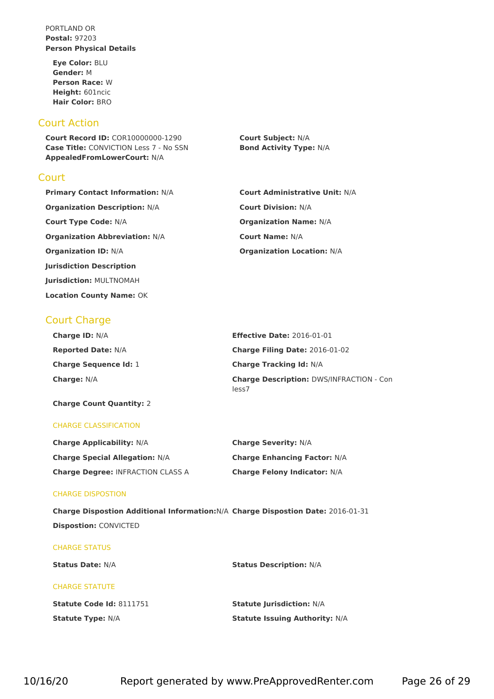PORTLAND OR **Postal:** 97203 **Person Physical Details**

**Eye Color:** BLU **Gender:** M **Person Race:** W **Height:** 601ncic **Hair Color:** BRO

# Court Action

**Court Record ID:** COR10000000-1290 **Court Subject:** N/A **Case Title:** CONVICTION Less 7 - No SSN **Bond Activity Type:** N/A **AppealedFromLowerCourt:** N/A

## **Court**

**Primary Contact Information:** N/A **Court Administrative Unit:** N/A **Organization Description:** N/A **Court Division:** N/A **Court Type Code:** N/A **Organization Name:** N/A **Organization Abbreviation:** N/A **Court Name:** N/A **Organization ID:** N/A **Organization Location:** N/A **Jurisdiction Description Jurisdiction:** MULTNOMAH **Location County Name:** OK

# Court Charge

| <b>Charge ID: N/A</b>        | <b>Effective Date: 2016-01-01</b>                        |
|------------------------------|----------------------------------------------------------|
| <b>Reported Date: N/A</b>    | <b>Charge Filing Date: 2016-01-02</b>                    |
| <b>Charge Sequence Id: 1</b> | <b>Charge Tracking Id: N/A</b>                           |
| <b>Charge: N/A</b>           | <b>Charge Description: DWS/INFRACTION - Con</b><br>less7 |

**Charge Count Quantity:** 2

#### CHARGE CLASSIFICATION

| <b>Charge Applicability: N/A</b>         | <b>Charge Severity: N/A</b>         |
|------------------------------------------|-------------------------------------|
| <b>Charge Special Allegation: N/A</b>    | <b>Charge Enhancing Factor: N/A</b> |
| <b>Charge Degree: INFRACTION CLASS A</b> | <b>Charge Felony Indicator: N/A</b> |

#### CHARGE DISPOSTION

**Charge Dispostion Additional Information:**N/A **Charge Dispostion Date:** 2016-01-31 **Dispostion:** CONVICTED

#### CHARGE STATUS

#### **Status Date:** N/A **Status Description:** N/A

#### CHARGE STATUTE

| <b>Statute Code Id: 8111751</b> | <b>Statute Jurisdiction: N/A</b>      |
|---------------------------------|---------------------------------------|
| <b>Statute Type: N/A</b>        | <b>Statute Issuing Authority: N/A</b> |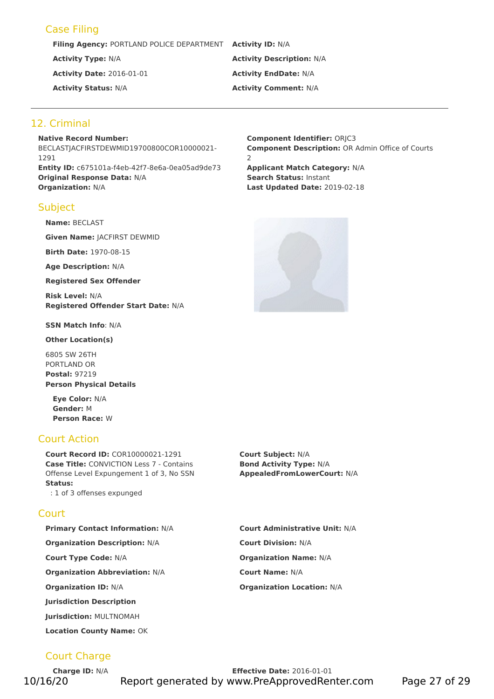# Case Filing

**Filing Agency:** PORTLAND POLICE DEPARTMENT **Activity ID:** N/A

**Activity Date:** 2016-01-01 **Activity EndDate:** N/A

# **Activity Type:** N/A **Activity Description:** N/A **Activity Status:** N/A **Activity Comment:** N/A

# 12. Criminal

**Native Record Number:** BECLASTJACFIRSTDEWMID19700800COR10000021- 1291 **Entity ID:** c675101a-f4eb-42f7-8e6a-0ea05ad9de73 **Applicant Match Category:** N/A **Original Response Data:** N/A **Search Status:** Instant **Organization:** N/A **Last Updated Date:** 2019-02-18

# **Subject**

**Name:** BECLAST

**Given Name:** JACFIRST DEWMID

**Birth Date:** 1970-08-15

**Age Description:** N/A

**Registered Sex Offender**

**Risk Level:** N/A **Registered Offender Start Date:** N/A

**SSN Match Info**: N/A

**Other Location(s)**

6805 SW 26TH PORTLAND OR **Postal:** 97219 **Person Physical Details**

**Eye Color:** N/A **Gender:** M **Person Race:** W

# Court Action

**Court Record ID:** COR10000021-1291 **Court Subject:** N/A **Case Title:** CONVICTION Less 7 - Contains Offense Level Expungement 1 of 3, No SSN **Status:** : 1 of 3 offenses expunged

# **Court**

**Primary Contact Information:** N/A **Court Administrative Unit:** N/A **Organization Description:** N/A **Court Division:** N/A **Court Type Code:** N/A **Organization Name:** N/A **Organization Abbreviation:** N/A **Court Name:** N/A **Organization ID:** N/A **Organization Location:** N/A **Jurisdiction Description Jurisdiction:** MULTNOMAH **Location County Name:** OK

Court Charge

**Charge ID:** N/A **Effective Date:** 2016-01-01 10/16/20 Report generated by www.PreApprovedRenter.com Page 27 of 29

**Component Identifier:** ORJC3 **Component Description: OR Admin Office of Courts** 2



**Bond Activity Type:** N/A **AppealedFromLowerCourt:** N/A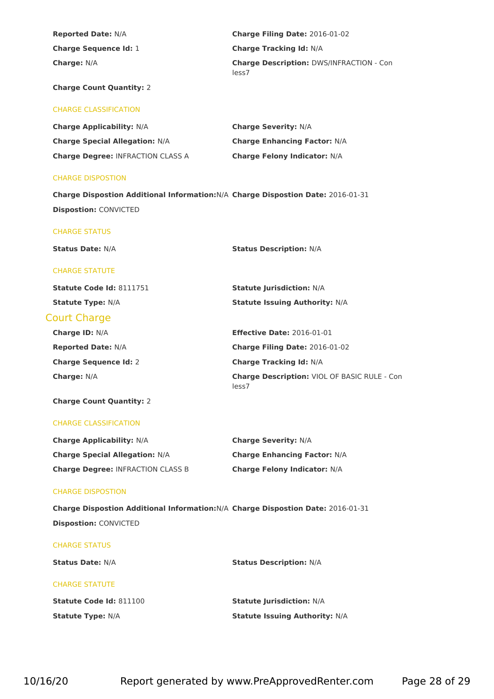| <b>Reported Date: N/A</b>                                                        | Charge Filing Date: 2016-01-02                           |
|----------------------------------------------------------------------------------|----------------------------------------------------------|
| <b>Charge Sequence Id: 1</b>                                                     | <b>Charge Tracking Id: N/A</b>                           |
| Charge: N/A                                                                      | <b>Charge Description: DWS/INFRACTION - Con</b><br>less7 |
| <b>Charge Count Quantity: 2</b>                                                  |                                                          |
| <b>CHARGE CLASSIFICATION</b>                                                     |                                                          |
| <b>Charge Applicability: N/A</b>                                                 | <b>Charge Severity: N/A</b>                              |
| <b>Charge Special Allegation: N/A</b>                                            | <b>Charge Enhancing Factor: N/A</b>                      |
| <b>Charge Degree: INFRACTION CLASS A</b>                                         | <b>Charge Felony Indicator: N/A</b>                      |
| <b>CHARGE DISPOSTION</b>                                                         |                                                          |
| Charge Dispostion Additional Information: N/A Charge Dispostion Date: 2016-01-31 |                                                          |
| <b>Dispostion: CONVICTED</b>                                                     |                                                          |
| <b>CHARGE STATUS</b>                                                             |                                                          |
| <b>Status Date: N/A</b>                                                          | <b>Status Description: N/A</b>                           |
| <b>CHARGE STATUTE</b>                                                            |                                                          |
| Statute Code Id: 8111751                                                         | <b>Statute Jurisdiction: N/A</b>                         |
| <b>Statute Type: N/A</b>                                                         | <b>Statute Issuing Authority: N/A</b>                    |
| <b>Court Charge</b>                                                              |                                                          |
| Charge ID: N/A                                                                   | <b>Effective Date: 2016-01-01</b>                        |
| <b>Reported Date: N/A</b>                                                        | Charge Filing Date: 2016-01-02                           |
| <b>Charge Sequence Id: 2</b>                                                     | <b>Charge Tracking Id: N/A</b>                           |
| Charge: N/A                                                                      | Charge Description: VIOL OF BASIC RULE - Con<br>less7    |
| <b>Charge Count Quantity: 2</b>                                                  |                                                          |
| <b>CHARGE CLASSIFICATION</b>                                                     |                                                          |
| <b>Charge Applicability: N/A</b>                                                 | <b>Charge Severity: N/A</b>                              |
| <b>Charge Special Allegation: N/A</b>                                            | <b>Charge Enhancing Factor: N/A</b>                      |
| <b>Charge Degree: INFRACTION CLASS B</b>                                         | Charge Felony Indicator: N/A                             |
| <b>CHARGE DISPOSTION</b>                                                         |                                                          |
| Charge Dispostion Additional Information: N/A Charge Dispostion Date: 2016-01-31 |                                                          |
| <b>Dispostion: CONVICTED</b>                                                     |                                                          |
| <b>CHARGE STATUS</b>                                                             |                                                          |
| <b>Status Date: N/A</b>                                                          | <b>Status Description: N/A</b>                           |
| <b>CHARGE STATUTE</b>                                                            |                                                          |
| Statute Code Id: 811100                                                          | <b>Statute Jurisdiction: N/A</b>                         |
| <b>Statute Type: N/A</b>                                                         | <b>Statute Issuing Authority: N/A</b>                    |
|                                                                                  |                                                          |